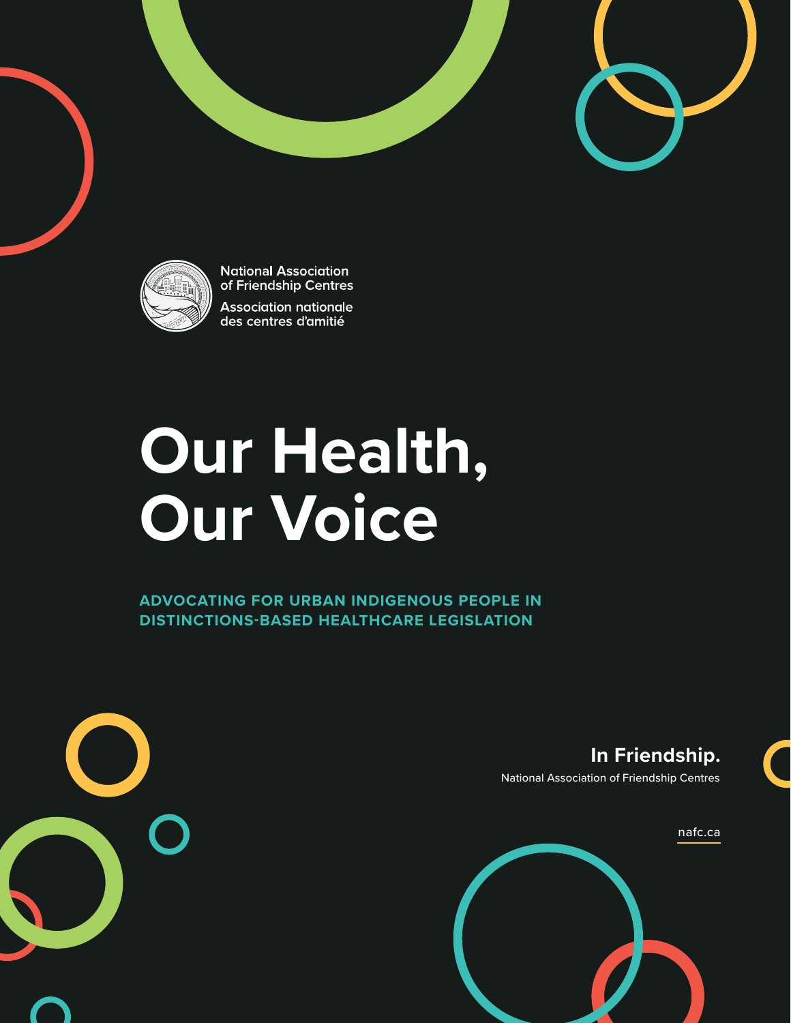

**National Association** of Friendship Centres **Association nationale** des centres d'amitié

# **Our Health, Our Voice**

**ADVOCATING FOR URBAN INDIGENOUS PEOPLE IN DISTINCTIONS-BASED HEALTHCARE LEGISLATION**



**In Friendship.**

National Association of Friendship Centres

[nafc.ca](http://nafc.ca)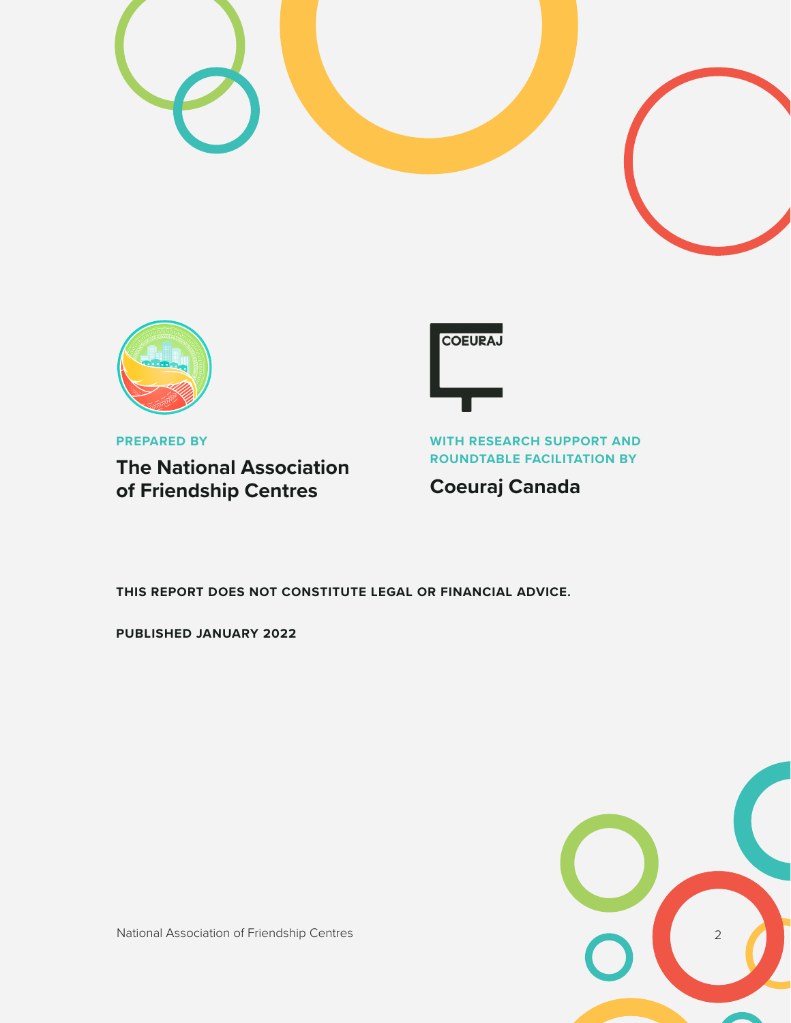



**PREPARED BY**

**The National Association of Friendship Centres**

**COEURAJ** 

**WITH RESEARCH SUPPORT AND ROUNDTABLE FACILITATION BY**

**Coeuraj Canada**

**THIS REPORT DOES NOT CONSTITUTE LEGAL OR FINANCIAL ADVICE.**

**PUBLISHED JANUARY 2022**



National Association of Friendship Centres 2008 2009 2012 2013 2014 2014 2015 2016 2017 2018 2019 2014 2017 20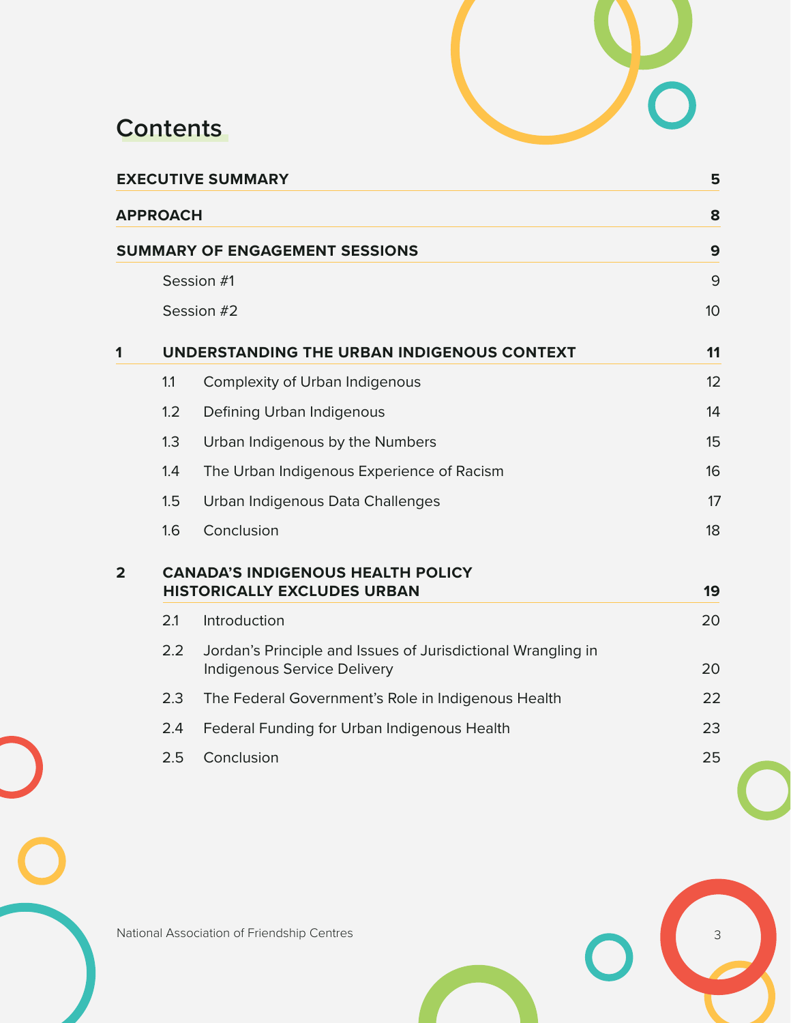

# **Contents**

| <b>EXECUTIVE SUMMARY</b> |                                                                                |                                                                                                    |    |  |  |  |
|--------------------------|--------------------------------------------------------------------------------|----------------------------------------------------------------------------------------------------|----|--|--|--|
|                          | <b>APPROACH</b>                                                                |                                                                                                    | 8  |  |  |  |
|                          |                                                                                | SUMMARY OF ENGAGEMENT SESSIONS                                                                     | 9  |  |  |  |
|                          | Session #1                                                                     | 9                                                                                                  |    |  |  |  |
|                          | Session #2                                                                     |                                                                                                    |    |  |  |  |
| 1                        | UNDERSTANDING THE URBAN INDIGENOUS CONTEXT                                     |                                                                                                    |    |  |  |  |
|                          | 1.1                                                                            | <b>Complexity of Urban Indigenous</b>                                                              | 12 |  |  |  |
|                          | 1.2                                                                            | Defining Urban Indigenous                                                                          | 14 |  |  |  |
|                          | 1.3                                                                            | Urban Indigenous by the Numbers                                                                    | 15 |  |  |  |
|                          | 1.4                                                                            | The Urban Indigenous Experience of Racism                                                          | 16 |  |  |  |
|                          | 1.5                                                                            | Urban Indigenous Data Challenges                                                                   | 17 |  |  |  |
|                          | 1.6                                                                            | Conclusion                                                                                         | 18 |  |  |  |
| $\overline{2}$           | <b>CANADA'S INDIGENOUS HEALTH POLICY</b><br><b>HISTORICALLY EXCLUDES URBAN</b> |                                                                                                    |    |  |  |  |
|                          | 2.1                                                                            | Introduction                                                                                       | 20 |  |  |  |
|                          | 2.2                                                                            | Jordan's Principle and Issues of Jurisdictional Wrangling in<br><b>Indigenous Service Delivery</b> | 20 |  |  |  |
|                          | 2.3                                                                            | The Federal Government's Role in Indigenous Health                                                 | 22 |  |  |  |
|                          | 2.4                                                                            | Federal Funding for Urban Indigenous Health                                                        | 23 |  |  |  |
|                          | 2.5                                                                            | Conclusion                                                                                         | 25 |  |  |  |
|                          |                                                                                |                                                                                                    |    |  |  |  |

National Association of Friendship Centres 3<br>
and the Contract of Section 1989, the Contract of Section 1989, the Contract of Section 1989, the Contract of Section 1989, the Contract of Section 1989, the Contract of Sectio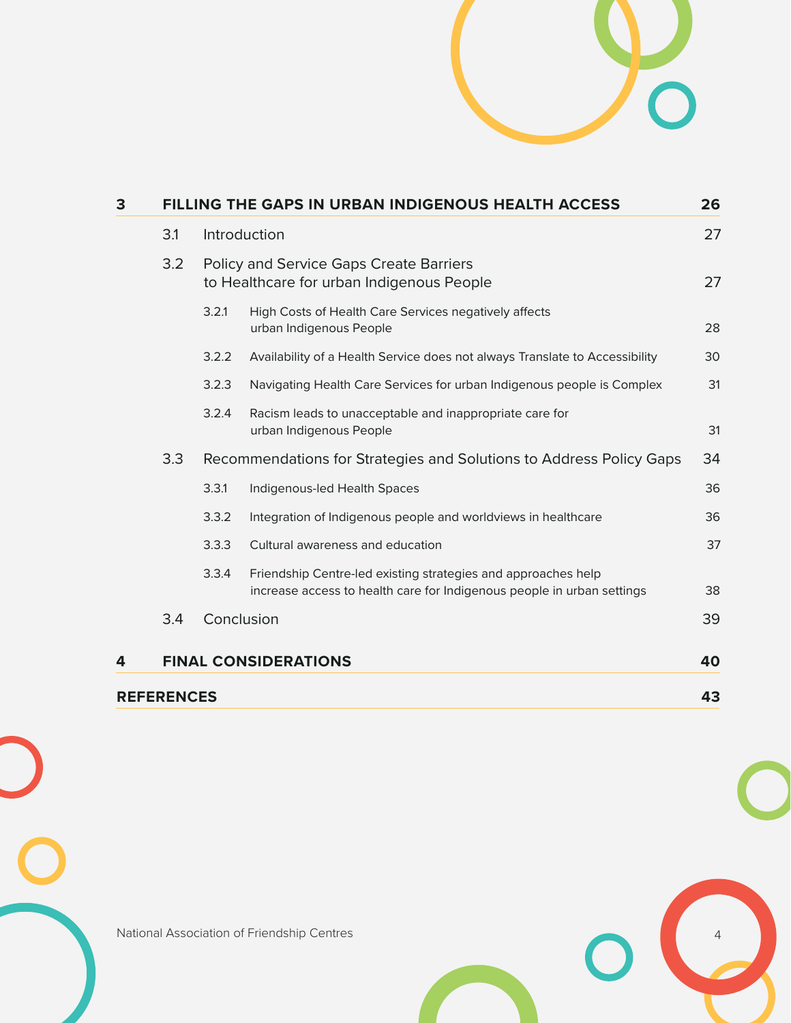

| 3 | <b>FILLING THE GAPS IN URBAN INDIGENOUS HEALTH ACCESS</b> |                                                                                             |                                                                                                                                         |    |  |  |
|---|-----------------------------------------------------------|---------------------------------------------------------------------------------------------|-----------------------------------------------------------------------------------------------------------------------------------------|----|--|--|
|   | 3.1                                                       |                                                                                             | Introduction                                                                                                                            |    |  |  |
|   | 3.2                                                       | <b>Policy and Service Gaps Create Barriers</b><br>to Healthcare for urban Indigenous People |                                                                                                                                         |    |  |  |
|   |                                                           | 3.2.1                                                                                       | High Costs of Health Care Services negatively affects<br>urban Indigenous People                                                        | 28 |  |  |
|   |                                                           | 3.2.2                                                                                       | Availability of a Health Service does not always Translate to Accessibility                                                             | 30 |  |  |
|   |                                                           | 3.2.3                                                                                       | Navigating Health Care Services for urban Indigenous people is Complex                                                                  | 31 |  |  |
|   |                                                           | 3.2.4                                                                                       | Racism leads to unacceptable and inappropriate care for<br>urban Indigenous People                                                      | 31 |  |  |
|   | 3.3                                                       |                                                                                             | Recommendations for Strategies and Solutions to Address Policy Gaps                                                                     | 34 |  |  |
|   |                                                           | 3.3.1                                                                                       | Indigenous-led Health Spaces                                                                                                            | 36 |  |  |
|   |                                                           | 3.3.2                                                                                       | Integration of Indigenous people and worldviews in healthcare                                                                           | 36 |  |  |
|   |                                                           | 3.3.3                                                                                       | Cultural awareness and education                                                                                                        | 37 |  |  |
|   |                                                           | 3.3.4                                                                                       | Friendship Centre-led existing strategies and approaches help<br>increase access to health care for Indigenous people in urban settings | 38 |  |  |
|   | 3.4                                                       |                                                                                             | Conclusion                                                                                                                              | 39 |  |  |
| 4 |                                                           |                                                                                             | <b>FINAL CONSIDERATIONS</b>                                                                                                             | 40 |  |  |
|   | <b>REFERENCES</b>                                         |                                                                                             |                                                                                                                                         | 43 |  |  |

National Association of Friendship Centres 4

 $\Box$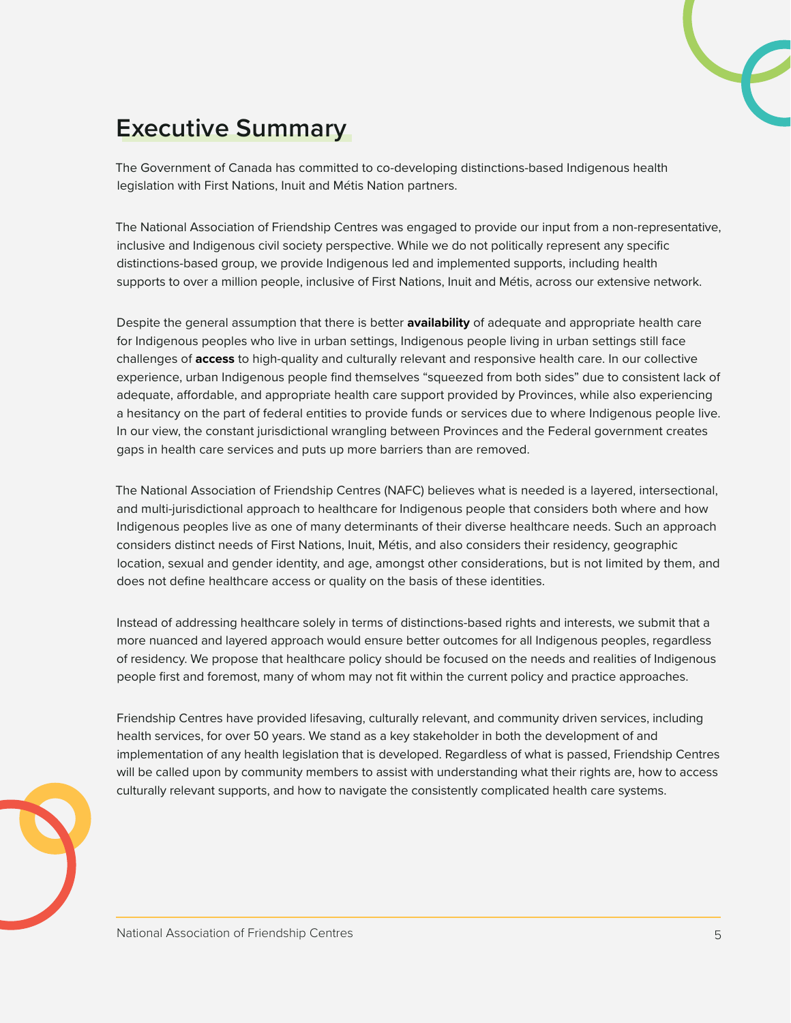# <span id="page-4-0"></span>**Executive Summary**

The Government of Canada has committed to co-developing distinctions-based Indigenous health legislation with First Nations, Inuit and Métis Nation partners.

The National Association of Friendship Centres was engaged to provide our input from a non-representative, inclusive and Indigenous civil society perspective. While we do not politically represent any specific distinctions-based group, we provide Indigenous led and implemented supports, including health supports to over a million people, inclusive of First Nations, Inuit and Métis, across our extensive network.

Despite the general assumption that there is better **availability** of adequate and appropriate health care for Indigenous peoples who live in urban settings, Indigenous people living in urban settings still face challenges of **access** to high-quality and culturally relevant and responsive health care. In our collective experience, urban Indigenous people find themselves "squeezed from both sides" due to consistent lack of adequate, affordable, and appropriate health care support provided by Provinces, while also experiencing a hesitancy on the part of federal entities to provide funds or services due to where Indigenous people live. In our view, the constant jurisdictional wrangling between Provinces and the Federal government creates gaps in health care services and puts up more barriers than are removed.

The National Association of Friendship Centres (NAFC) believes what is needed is a layered, intersectional, and multi-jurisdictional approach to healthcare for Indigenous people that considers both where and how Indigenous peoples live as one of many determinants of their diverse healthcare needs. Such an approach considers distinct needs of First Nations, Inuit, Métis, and also considers their residency, geographic location, sexual and gender identity, and age, amongst other considerations, but is not limited by them, and does not define healthcare access or quality on the basis of these identities.

Instead of addressing healthcare solely in terms of distinctions-based rights and interests, we submit that a more nuanced and layered approach would ensure better outcomes for all Indigenous peoples, regardless of residency. We propose that healthcare policy should be focused on the needs and realities of Indigenous people first and foremost, many of whom may not fit within the current policy and practice approaches.

Friendship Centres have provided lifesaving, culturally relevant, and community driven services, including health services, for over 50 years. We stand as a key stakeholder in both the development of and implementation of any health legislation that is developed. Regardless of what is passed, Friendship Centres will be called upon by community members to assist with understanding what their rights are, how to access culturally relevant supports, and how to navigate the consistently complicated health care systems.

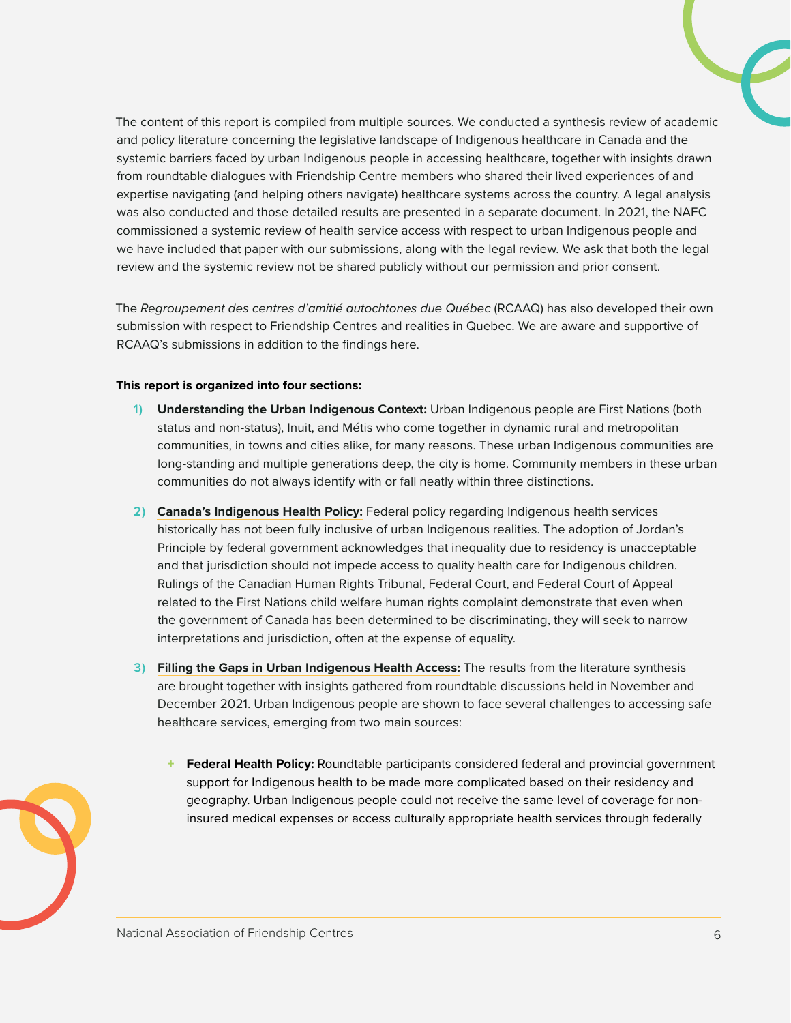The content of this report is compiled from multiple sources. We conducted a synthesis review of academic and policy literature concerning the legislative landscape of Indigenous healthcare in Canada and the systemic barriers faced by urban Indigenous people in accessing healthcare, together with insights drawn from roundtable dialogues with Friendship Centre members who shared their lived experiences of and expertise navigating (and helping others navigate) healthcare systems across the country. A legal analysis was also conducted and those detailed results are presented in a separate document. In 2021, the NAFC commissioned a systemic review of health service access with respect to urban Indigenous people and we have included that paper with our submissions, along with the legal review. We ask that both the legal review and the systemic review not be shared publicly without our permission and prior consent.

The *Regroupement des centres d'amitié autochtones due Québec* (RCAAQ) has also developed their own submission with respect to Friendship Centres and realities in Quebec. We are aware and supportive of RCAAQ's submissions in addition to the findings here.

#### **This report is organized into four sections:**

- **1) Understanding the Urban Indigenous Context:** Urban Indigenous people are First Nations (both status and non-status), Inuit, and Métis who come together in dynamic rural and metropolitan communities, in towns and cities alike, for many reasons. These urban Indigenous communities are long-standing and multiple generations deep, the city is home. Community members in these urban communities do not always identify with or fall neatly within three distinctions.
- **2) Canada's Indigenous Health Policy:** Federal policy regarding Indigenous health services historically has not been fully inclusive of urban Indigenous realities. The adoption of Jordan's Principle by federal government acknowledges that inequality due to residency is unacceptable and that jurisdiction should not impede access to quality health care for Indigenous children. Rulings of the Canadian Human Rights Tribunal, Federal Court, and Federal Court of Appeal related to the First Nations child welfare human rights complaint demonstrate that even when the government of Canada has been determined to be discriminating, they will seek to narrow interpretations and jurisdiction, often at the expense of equality.
- **3) Filling the Gaps in Urban Indigenous Health Access:** The results from the literature synthesis are brought together with insights gathered from roundtable discussions held in November and December 2021. Urban Indigenous people are shown to face several challenges to accessing safe healthcare services, emerging from two main sources:
	- **Federal Health Policy:** Roundtable participants considered federal and provincial government support for Indigenous health to be made more complicated based on their residency and geography. Urban Indigenous people could not receive the same level of coverage for noninsured medical expenses or access culturally appropriate health services through federally

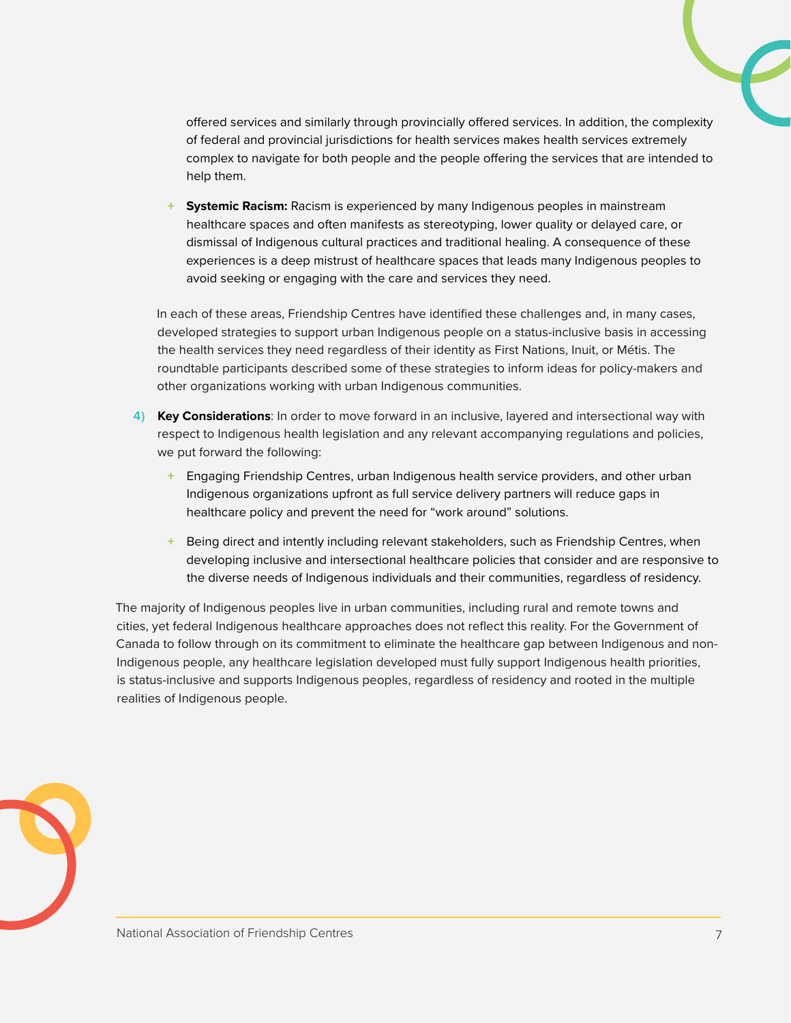offered services and similarly through provincially offered services. In addition, the complexity of federal and provincial jurisdictions for health services makes health services extremely complex to navigate for both people and the people offering the services that are intended to help them.

+ **Systemic Racism:** Racism is experienced by many Indigenous peoples in mainstream healthcare spaces and often manifests as stereotyping, lower quality or delayed care, or dismissal of Indigenous cultural practices and traditional healing. A consequence of these experiences is a deep mistrust of healthcare spaces that leads many Indigenous peoples to avoid seeking or engaging with the care and services they need.

In each of these areas, Friendship Centres have identified these challenges and, in many cases, developed strategies to support urban Indigenous people on a status-inclusive basis in accessing the health services they need regardless of their identity as First Nations, Inuit, or Métis. The roundtable participants described some of these strategies to inform ideas for policy-makers and other organizations working with urban Indigenous communities.

- **4) Key Considerations**: In order to move forward in an inclusive, layered and intersectional way with respect to Indigenous health legislation and any relevant accompanying regulations and policies, we put forward the following:
	- + Engaging Friendship Centres, urban Indigenous health service providers, and other urban Indigenous organizations upfront as full service delivery partners will reduce gaps in healthcare policy and prevent the need for "work around" solutions.
	- Being direct and intently including relevant stakeholders, such as Friendship Centres, when developing inclusive and intersectional healthcare policies that consider and are responsive to the diverse needs of Indigenous individuals and their communities, regardless of residency.

The majority of Indigenous peoples live in urban communities, including rural and remote towns and cities, yet federal Indigenous healthcare approaches does not reflect this reality. For the Government of Canada to follow through on its commitment to eliminate the healthcare gap between Indigenous and non-Indigenous people, any healthcare legislation developed must fully support Indigenous health priorities, is status-inclusive and supports Indigenous peoples, regardless of residency and rooted in the multiple realities of Indigenous people.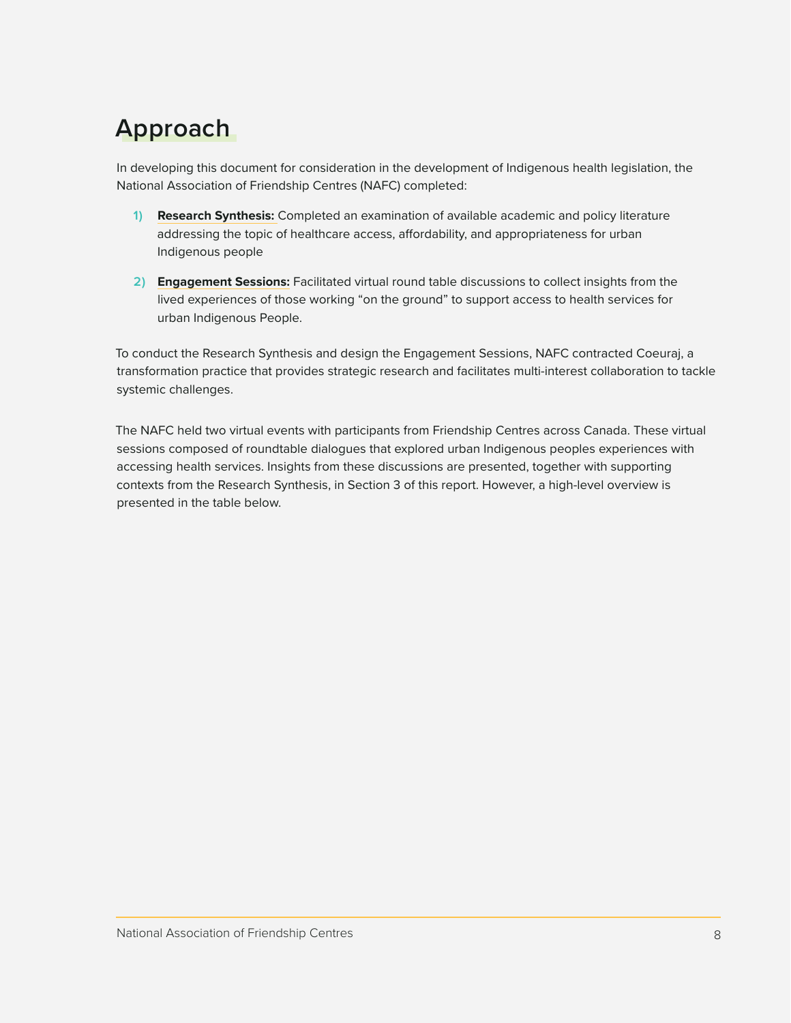# <span id="page-7-0"></span>**Approach**

In developing this document for consideration in the development of Indigenous health legislation, the National Association of Friendship Centres (NAFC) completed:

- **1) Research Synthesis:** Completed an examination of available academic and policy literature addressing the topic of healthcare access, affordability, and appropriateness for urban Indigenous people
- **2) Engagement Sessions:** Facilitated virtual round table discussions to collect insights from the lived experiences of those working "on the ground" to support access to health services for urban Indigenous People.

To conduct the Research Synthesis and design the Engagement Sessions, NAFC contracted Coeuraj, a transformation practice that provides strategic research and facilitates multi-interest collaboration to tackle systemic challenges.

The NAFC held two virtual events with participants from Friendship Centres across Canada. These virtual sessions composed of roundtable dialogues that explored urban Indigenous peoples experiences with accessing health services. Insights from these discussions are presented, together with supporting contexts from the Research Synthesis, in Section 3 of this report. However, a high-level overview is presented in the table below.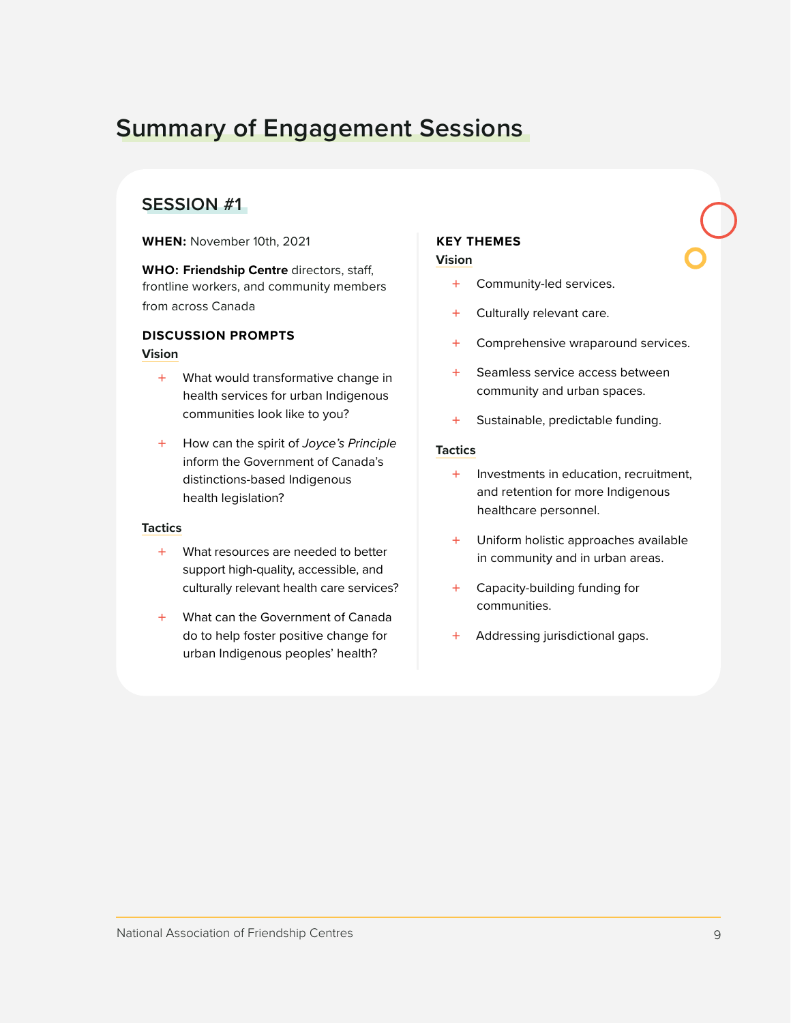# <span id="page-8-0"></span>**Summary of Engagement Sessions**

### **SESSION #1**

**WHEN:** November 10th, 2021

**WHO: Friendship Centre** directors, staff, frontline workers, and community members from across Canada

#### **DISCUSSION PROMPTS**

#### **Vision**

- + What would transformative change in health services for urban Indigenous communities look like to you?
- + How can the spirit of *Joyce's Principle* inform the Government of Canada's distinctions-based Indigenous health legislation?

#### **Tactics**

- + What resources are needed to better support high-quality, accessible, and culturally relevant health care services?
- + What can the Government of Canada do to help foster positive change for urban Indigenous peoples' health?

#### **KEY THEMES Vision**

- + Community-led services.
- + Culturally relevant care.
- + Comprehensive wraparound services.
- + Seamless service access between community and urban spaces.
- + Sustainable, predictable funding.

#### **Tactics**

- + Investments in education, recruitment, and retention for more Indigenous healthcare personnel.
- + Uniform holistic approaches available in community and in urban areas.
- + Capacity-building funding for communities.
- + Addressing jurisdictional gaps.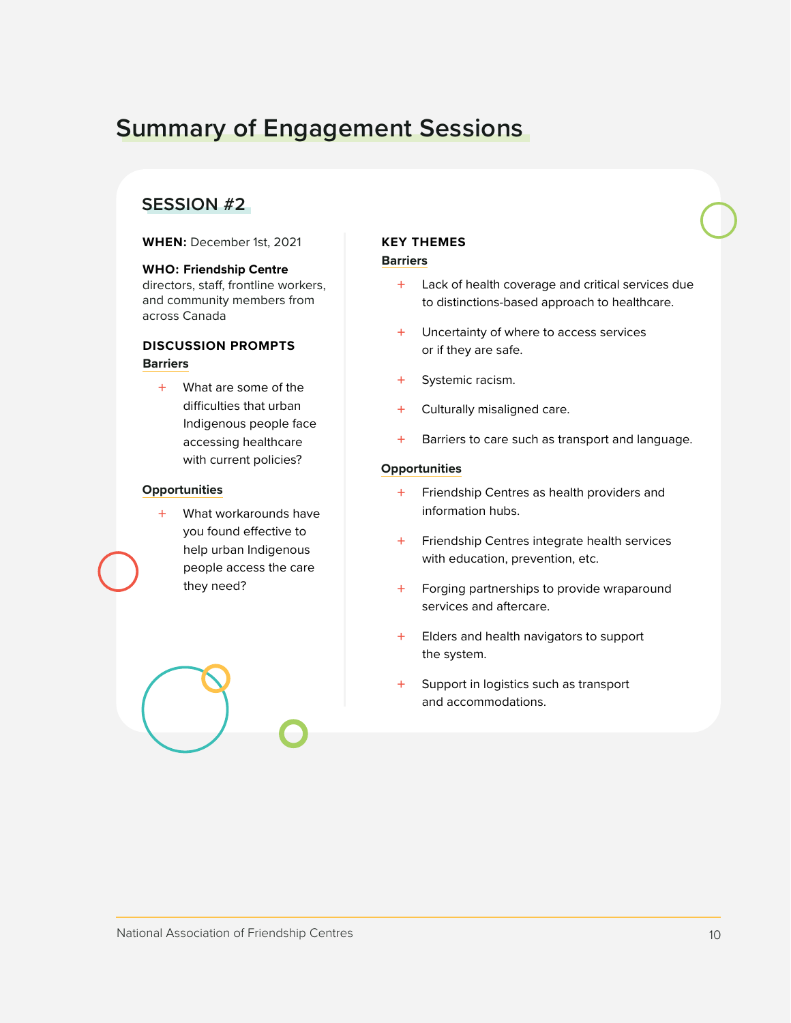# <span id="page-9-0"></span>**Summary of Engagement Sessions**

#### **SESSION #2**

**WHEN:** December 1st, 2021

#### **WHO: Friendship Centre**

directors, staff, frontline workers, and community members from across Canada

#### **DISCUSSION PROMPTS Barriers**

+ What are some of the difficulties that urban Indigenous people face accessing healthcare with current policies?

#### **Opportunities**

+ What workarounds have you found effective to help urban Indigenous people access the care they need?

#### **KEY THEMES Barriers**

- + Lack of health coverage and critical services due to distinctions-based approach to healthcare.
- + Uncertainty of where to access services or if they are safe.
- + Systemic racism.
- + Culturally misaligned care.
- + Barriers to care such as transport and language.

#### **Opportunities**

- + Friendship Centres as health providers and information hubs.
- + Friendship Centres integrate health services with education, prevention, etc.
- + Forging partnerships to provide wraparound services and aftercare.
- + Elders and health navigators to support the system.
- + Support in logistics such as transport and accommodations.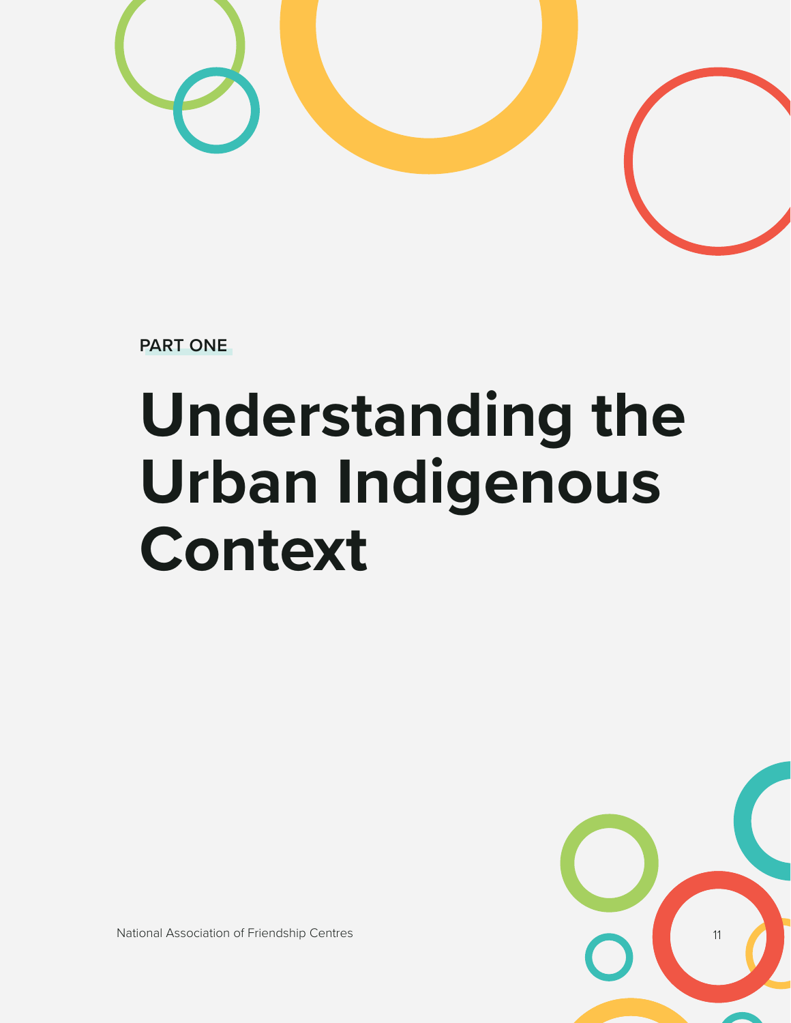

**PART ONE**

# **Understanding the Urban Indigenous Context**



National Association of Friendship Centres 11 and 2008 12 and 2008 12 and 2008 12 and 2008 12 and 2008 12 and 2008 12 and 2008 12 and 2008 12 and 2008 12 and 2008 12 and 2008 12 and 2008 12 and 2008 12 and 2008 12 and 2008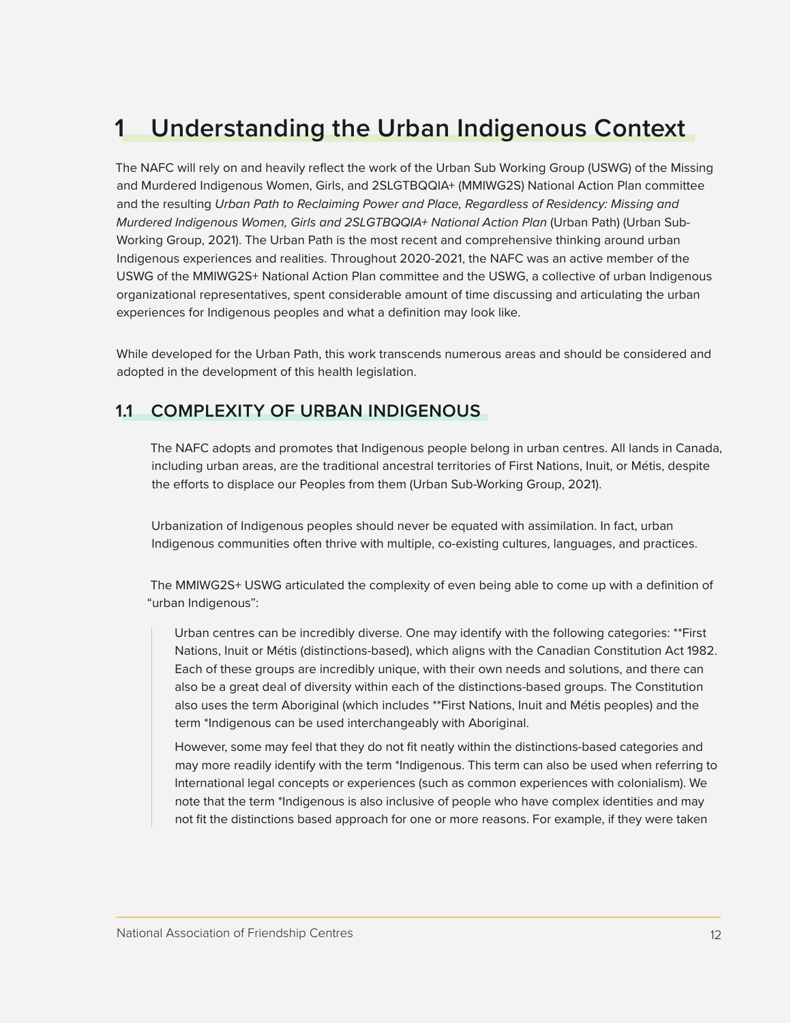# <span id="page-11-0"></span>**1 Understanding the Urban Indigenous Context**

The NAFC will rely on and heavily reflect the work of the Urban Sub Working Group (USWG) of the Missing and Murdered Indigenous Women, Girls, and 2SLGTBQQIA+ (MMIWG2S) National Action Plan committee and the resulting *Urban Path to Reclaiming Power and Place, Regardless of Residency: Missing and Murdered Indigenous Women, Girls and 2SLGTBQQIA+ National Action Plan* (Urban Path) (Urban Sub-Working Group, 2021). The Urban Path is the most recent and comprehensive thinking around urban Indigenous experiences and realities. Throughout 2020-2021, the NAFC was an active member of the USWG of the MMIWG2S+ National Action Plan committee and the USWG, a collective of urban Indigenous organizational representatives, spent considerable amount of time discussing and articulating the urban experiences for Indigenous peoples and what a definition may look like.

While developed for the Urban Path, this work transcends numerous areas and should be considered and adopted in the development of this health legislation.

#### **1.1 COMPLEXITY OF URBAN INDIGENOUS**

The NAFC adopts and promotes that Indigenous people belong in urban centres. All lands in Canada, including urban areas, are the traditional ancestral territories of First Nations, Inuit, or Métis, despite the efforts to displace our Peoples from them (Urban Sub-Working Group, 2021).

Urbanization of Indigenous peoples should never be equated with assimilation. In fact, urban Indigenous communities often thrive with multiple, co-existing cultures, languages, and practices.

The MMIWG2S+ USWG articulated the complexity of even being able to come up with a definition of "urban Indigenous":

Urban centres can be incredibly diverse. One may identify with the following categories: \*\*First Nations, Inuit or Métis (distinctions-based), which aligns with the Canadian Constitution Act 1982. Each of these groups are incredibly unique, with their own needs and solutions, and there can also be a great deal of diversity within each of the distinctions-based groups. The Constitution also uses the term Aboriginal (which includes \*\*First Nations, Inuit and Métis peoples) and the term \*Indigenous can be used interchangeably with Aboriginal.

However, some may feel that they do not fit neatly within the distinctions-based categories and may more readily identify with the term \*Indigenous. This term can also be used when referring to International legal concepts or experiences (such as common experiences with colonialism). We note that the term \*Indigenous is also inclusive of people who have complex identities and may not fit the distinctions based approach for one or more reasons. For example, if they were taken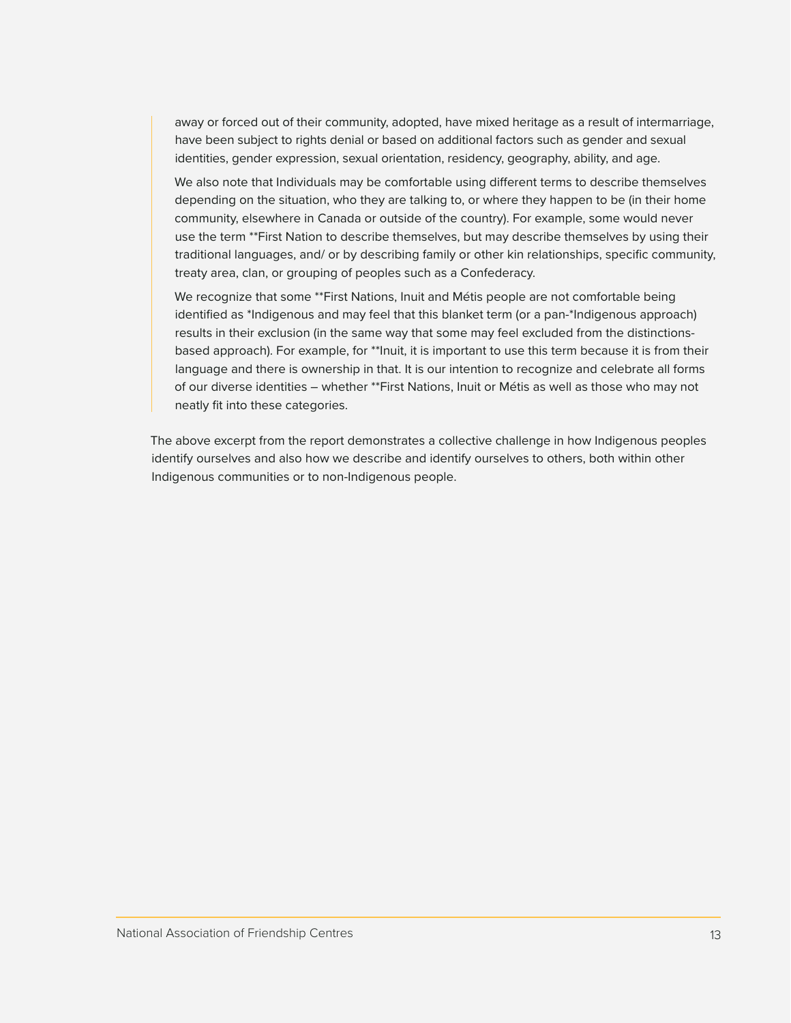away or forced out of their community, adopted, have mixed heritage as a result of intermarriage, have been subject to rights denial or based on additional factors such as gender and sexual identities, gender expression, sexual orientation, residency, geography, ability, and age.

We also note that Individuals may be comfortable using different terms to describe themselves depending on the situation, who they are talking to, or where they happen to be (in their home community, elsewhere in Canada or outside of the country). For example, some would never use the term \*\*First Nation to describe themselves, but may describe themselves by using their traditional languages, and/ or by describing family or other kin relationships, specific community, treaty area, clan, or grouping of peoples such as a Confederacy.

We recognize that some \*\*First Nations, Inuit and Métis people are not comfortable being identified as \*Indigenous and may feel that this blanket term (or a pan-\*Indigenous approach) results in their exclusion (in the same way that some may feel excluded from the distinctionsbased approach). For example, for \*\*Inuit, it is important to use this term because it is from their language and there is ownership in that. It is our intention to recognize and celebrate all forms of our diverse identities – whether \*\*First Nations, Inuit or Métis as well as those who may not neatly fit into these categories.

The above excerpt from the report demonstrates a collective challenge in how Indigenous peoples identify ourselves and also how we describe and identify ourselves to others, both within other Indigenous communities or to non-Indigenous people.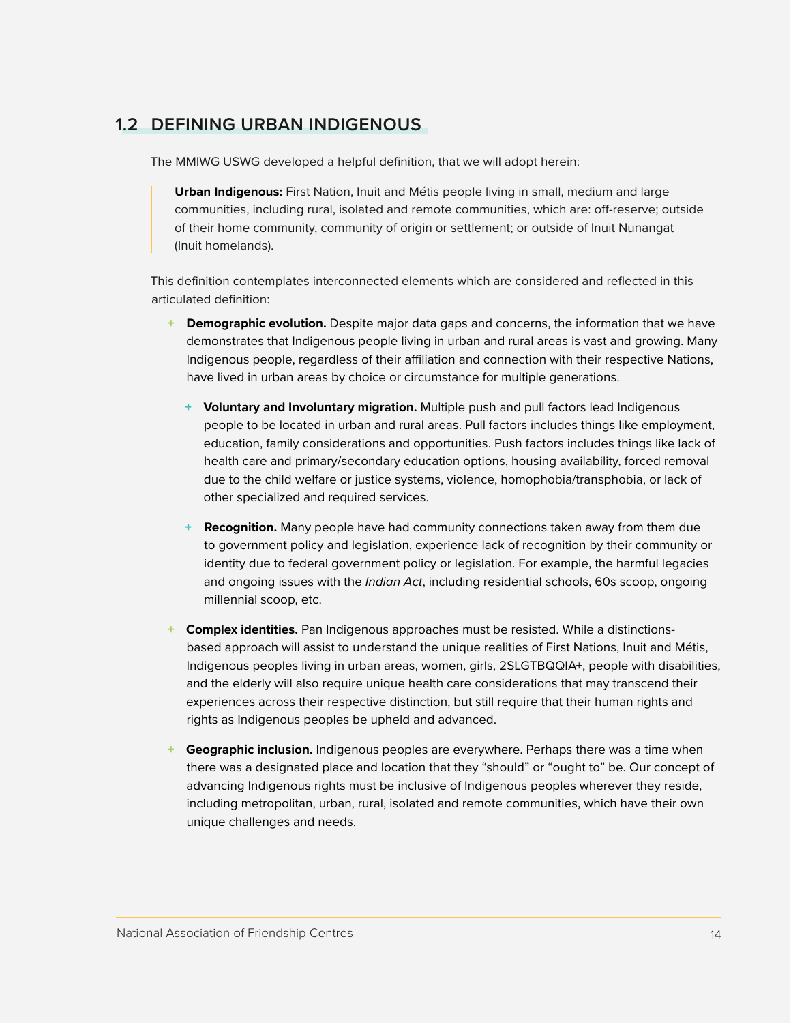### <span id="page-13-0"></span>**1.2 DEFINING URBAN INDIGENOUS**

The MMIWG USWG developed a helpful definition, that we will adopt herein:

**Urban Indigenous:** First Nation, Inuit and Métis people living in small, medium and large communities, including rural, isolated and remote communities, which are: off-reserve; outside of their home community, community of origin or settlement; or outside of Inuit Nunangat (Inuit homelands).

This definition contemplates interconnected elements which are considered and reflected in this articulated definition:

- + **Demographic evolution.** Despite major data gaps and concerns, the information that we have demonstrates that Indigenous people living in urban and rural areas is vast and growing. Many Indigenous people, regardless of their affiliation and connection with their respective Nations, have lived in urban areas by choice or circumstance for multiple generations.
	- + **Voluntary and Involuntary migration.** Multiple push and pull factors lead Indigenous people to be located in urban and rural areas. Pull factors includes things like employment, education, family considerations and opportunities. Push factors includes things like lack of health care and primary/secondary education options, housing availability, forced removal due to the child welfare or justice systems, violence, homophobia/transphobia, or lack of other specialized and required services.
	- + **Recognition.** Many people have had community connections taken away from them due to government policy and legislation, experience lack of recognition by their community or identity due to federal government policy or legislation. For example, the harmful legacies and ongoing issues with the *Indian Act*, including residential schools, 60s scoop, ongoing millennial scoop, etc.
- **Complex identities.** Pan Indigenous approaches must be resisted. While a distinctionsbased approach will assist to understand the unique realities of First Nations, Inuit and Métis, Indigenous peoples living in urban areas, women, girls, 2SLGTBQQIA+, people with disabilities, and the elderly will also require unique health care considerations that may transcend their experiences across their respective distinction, but still require that their human rights and rights as Indigenous peoples be upheld and advanced.
- **Geographic inclusion.** Indigenous peoples are everywhere. Perhaps there was a time when there was a designated place and location that they "should" or "ought to" be. Our concept of advancing Indigenous rights must be inclusive of Indigenous peoples wherever they reside, including metropolitan, urban, rural, isolated and remote communities, which have their own unique challenges and needs.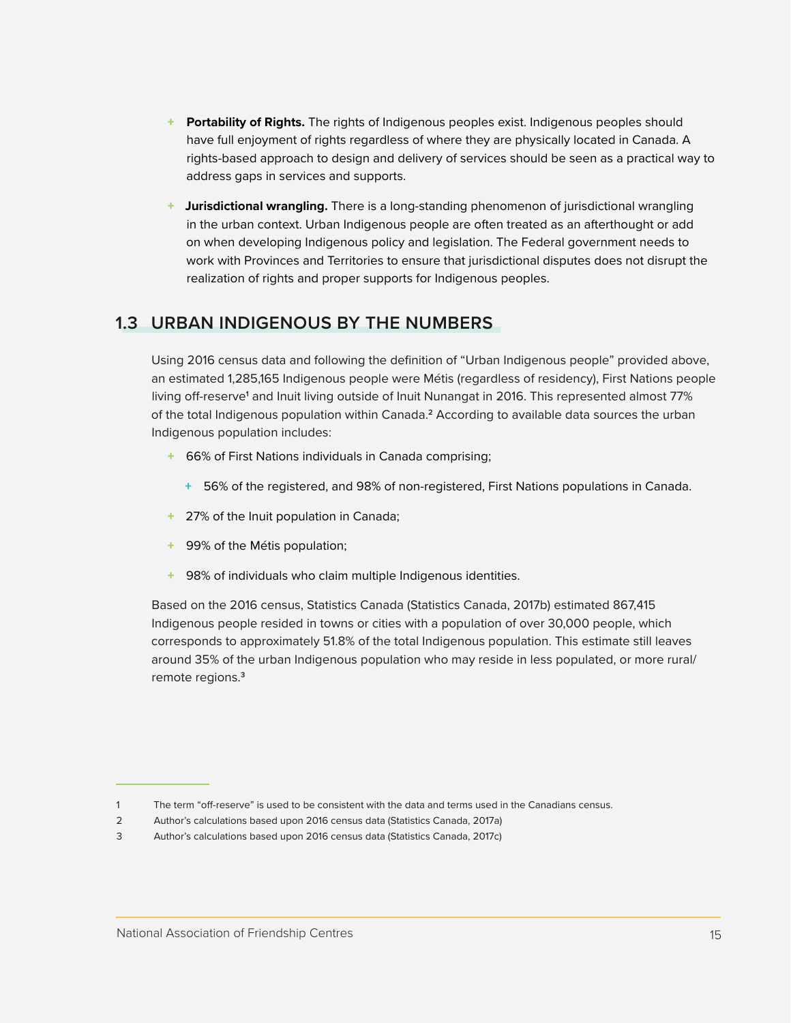- <span id="page-14-0"></span>**Portability of Rights.** The rights of Indigenous peoples exist. Indigenous peoples should have full enjoyment of rights regardless of where they are physically located in Canada. A rights-based approach to design and delivery of services should be seen as a practical way to address gaps in services and supports.
- + **Jurisdictional wrangling.** There is a long-standing phenomenon of jurisdictional wrangling in the urban context. Urban Indigenous people are often treated as an afterthought or add on when developing Indigenous policy and legislation. The Federal government needs to work with Provinces and Territories to ensure that jurisdictional disputes does not disrupt the realization of rights and proper supports for Indigenous peoples.

#### **1.3 URBAN INDIGENOUS BY THE NUMBERS**

Using 2016 census data and following the definition of "Urban Indigenous people" provided above, an estimated 1,285,165 Indigenous people were Métis (regardless of residency), First Nations people living off-reserve<sup>1</sup> and Inuit living outside of Inuit Nunangat in 2016. This represented almost 77% of the total Indigenous population within Canada.**<sup>2</sup>** According to available data sources the urban Indigenous population includes:

- + 66% of First Nations individuals in Canada comprising;
	- + 56% of the registered, and 98% of non-registered, First Nations populations in Canada.
- + 27% of the Inuit population in Canada;
- + 99% of the Métis population;
- + 98% of individuals who claim multiple Indigenous identities.

Based on the 2016 census, Statistics Canada (Statistics Canada, 2017b) estimated 867,415 Indigenous people resided in towns or cities with a population of over 30,000 people, which corresponds to approximately 51.8% of the total Indigenous population. This estimate still leaves around 35% of the urban Indigenous population who may reside in less populated, or more rural/ remote regions.**3**

<sup>1</sup> The term "off-reserve" is used to be consistent with the data and terms used in the Canadians census.

<sup>2</sup> Author's calculations based upon 2016 census data (Statistics Canada, 2017a)

<sup>3</sup> Author's calculations based upon 2016 census data (Statistics Canada, 2017c)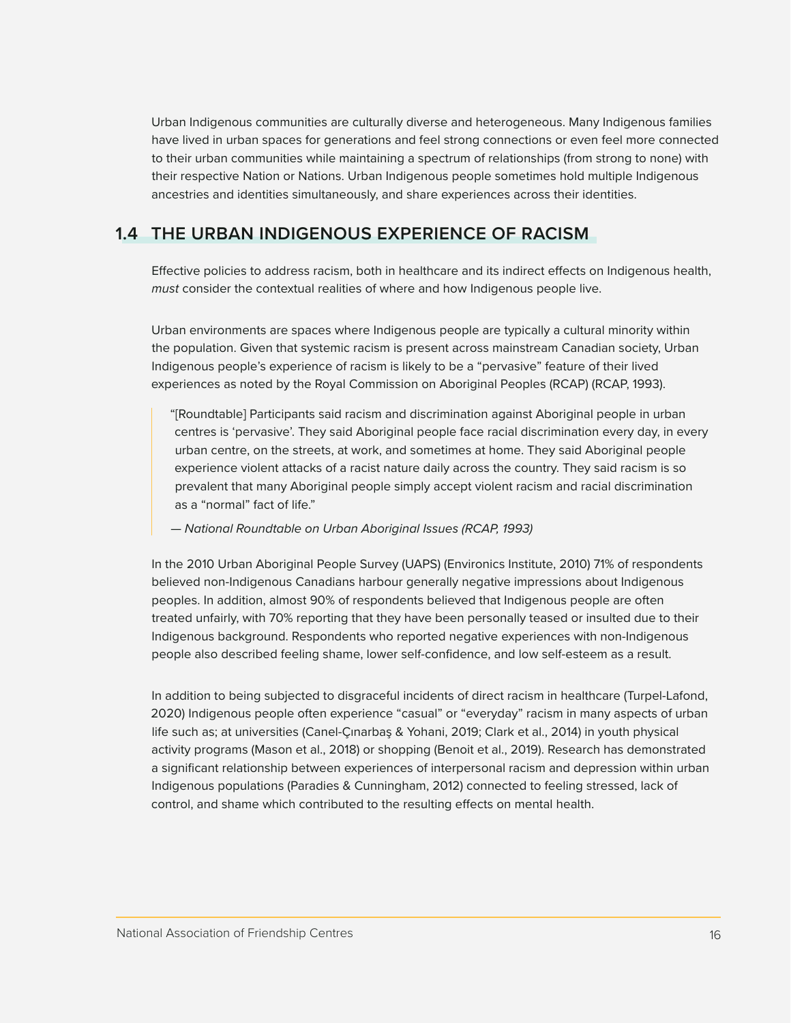<span id="page-15-0"></span>Urban Indigenous communities are culturally diverse and heterogeneous. Many Indigenous families have lived in urban spaces for generations and feel strong connections or even feel more connected to their urban communities while maintaining a spectrum of relationships (from strong to none) with their respective Nation or Nations. Urban Indigenous people sometimes hold multiple Indigenous ancestries and identities simultaneously, and share experiences across their identities.

### **1.4 THE URBAN INDIGENOUS EXPERIENCE OF RACISM**

Effective policies to address racism, both in healthcare and its indirect effects on Indigenous health, *must* consider the contextual realities of where and how Indigenous people live.

Urban environments are spaces where Indigenous people are typically a cultural minority within the population. Given that systemic racism is present across mainstream Canadian society, Urban Indigenous people's experience of racism is likely to be a "pervasive" feature of their lived experiences as noted by the Royal Commission on Aboriginal Peoples (RCAP) (RCAP, 1993).

"[Roundtable] Participants said racism and discrimination against Aboriginal people in urban centres is 'pervasive'. They said Aboriginal people face racial discrimination every day, in every urban centre, on the streets, at work, and sometimes at home. They said Aboriginal people experience violent attacks of a racist nature daily across the country. They said racism is so prevalent that many Aboriginal people simply accept violent racism and racial discrimination as a "normal" fact of life."

*— National Roundtable on Urban Aboriginal Issues (RCAP, 1993)*

In the 2010 Urban Aboriginal People Survey (UAPS) (Environics Institute, 2010) 71% of respondents believed non-Indigenous Canadians harbour generally negative impressions about Indigenous peoples. In addition, almost 90% of respondents believed that Indigenous people are often treated unfairly, with 70% reporting that they have been personally teased or insulted due to their Indigenous background. Respondents who reported negative experiences with non-Indigenous people also described feeling shame, lower self-confidence, and low self-esteem as a result.

In addition to being subjected to disgraceful incidents of direct racism in healthcare (Turpel-Lafond, 2020) Indigenous people often experience "casual" or "everyday" racism in many aspects of urban life such as; at universities (Canel-Çınarbaş & Yohani, 2019; Clark et al., 2014) in youth physical activity programs (Mason et al., 2018) or shopping (Benoit et al., 2019). Research has demonstrated a significant relationship between experiences of interpersonal racism and depression within urban Indigenous populations (Paradies & Cunningham, 2012) connected to feeling stressed, lack of control, and shame which contributed to the resulting effects on mental health.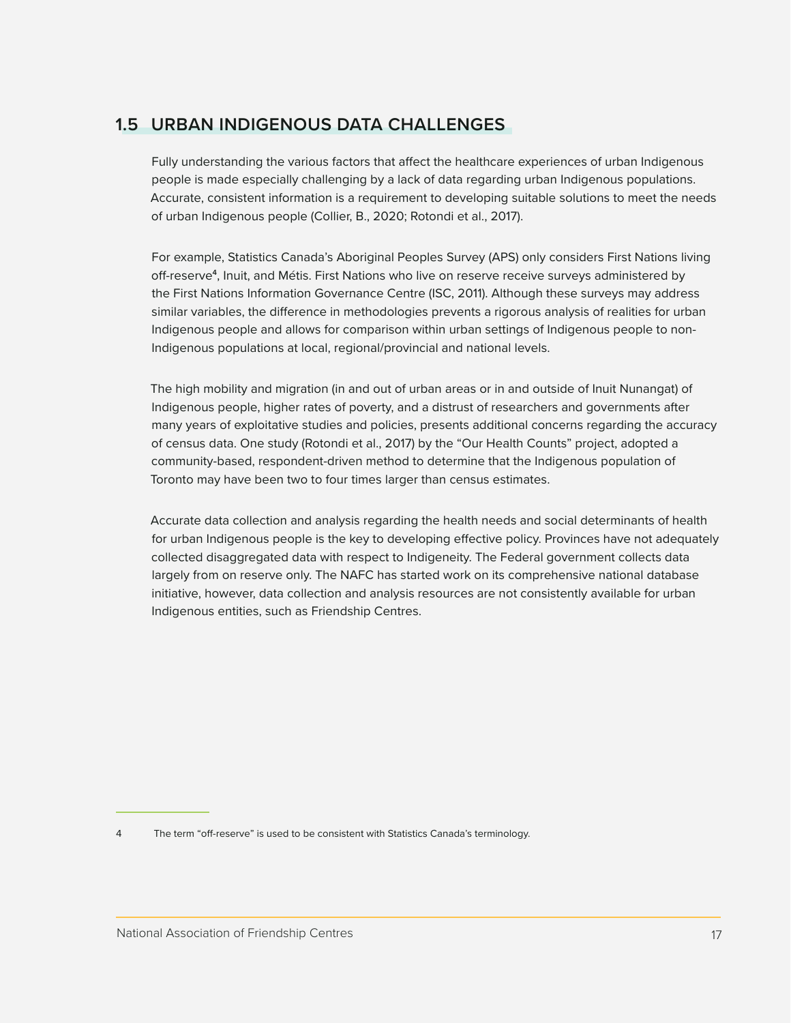### <span id="page-16-0"></span>**1.5 URBAN INDIGENOUS DATA CHALLENGES**

Fully understanding the various factors that affect the healthcare experiences of urban Indigenous people is made especially challenging by a lack of data regarding urban Indigenous populations. Accurate, consistent information is a requirement to developing suitable solutions to meet the needs of urban Indigenous people (Collier, B., 2020; Rotondi et al., 2017).

For example, Statistics Canada's Aboriginal Peoples Survey (APS) only considers First Nations living off-reserve**<sup>4</sup>**, Inuit, and Métis. First Nations who live on reserve receive surveys administered by the First Nations Information Governance Centre (ISC, 2011). Although these surveys may address similar variables, the difference in methodologies prevents a rigorous analysis of realities for urban Indigenous people and allows for comparison within urban settings of Indigenous people to non-Indigenous populations at local, regional/provincial and national levels.

The high mobility and migration (in and out of urban areas or in and outside of Inuit Nunangat) of Indigenous people, higher rates of poverty, and a distrust of researchers and governments after many years of exploitative studies and policies, presents additional concerns regarding the accuracy of census data. One study (Rotondi et al., 2017) by the "Our Health Counts" project, adopted a community-based, respondent-driven method to determine that the Indigenous population of Toronto may have been two to four times larger than census estimates.

Accurate data collection and analysis regarding the health needs and social determinants of health for urban Indigenous people is the key to developing effective policy. Provinces have not adequately collected disaggregated data with respect to Indigeneity. The Federal government collects data largely from on reserve only. The NAFC has started work on its comprehensive national database initiative, however, data collection and analysis resources are not consistently available for urban Indigenous entities, such as Friendship Centres.

4 The term "off-reserve" is used to be consistent with Statistics Canada's terminology.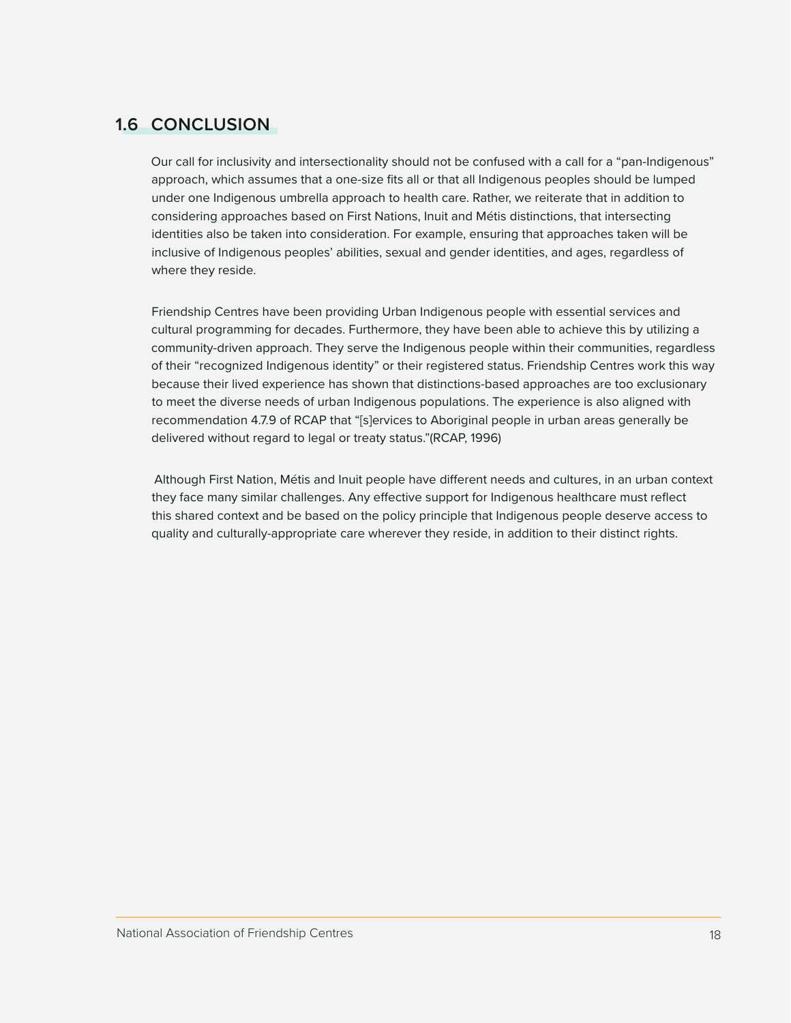## <span id="page-17-0"></span>**1.6 CONCLUSION**

Our call for inclusivity and intersectionality should not be confused with a call for a "pan-Indigenous" approach, which assumes that a one-size fits all or that all Indigenous peoples should be lumped under one Indigenous umbrella approach to health care. Rather, we reiterate that in addition to considering approaches based on First Nations, Inuit and Métis distinctions, that intersecting identities also be taken into consideration. For example, ensuring that approaches taken will be inclusive of Indigenous peoples' abilities, sexual and gender identities, and ages, regardless of where they reside.

Friendship Centres have been providing Urban Indigenous people with essential services and cultural programming for decades. Furthermore, they have been able to achieve this by utilizing a community-driven approach. They serve the Indigenous people within their communities, regardless of their "recognized Indigenous identity" or their registered status. Friendship Centres work this way because their lived experience has shown that distinctions-based approaches are too exclusionary to meet the diverse needs of urban Indigenous populations. The experience is also aligned with recommendation 4.7.9 of RCAP that "[s]ervices to Aboriginal people in urban areas generally be delivered without regard to legal or treaty status."(RCAP, 1996)

 Although First Nation, Métis and Inuit people have different needs and cultures, in an urban context they face many similar challenges. Any effective support for Indigenous healthcare must reflect this shared context and be based on the policy principle that Indigenous people deserve access to quality and culturally-appropriate care wherever they reside, in addition to their distinct rights.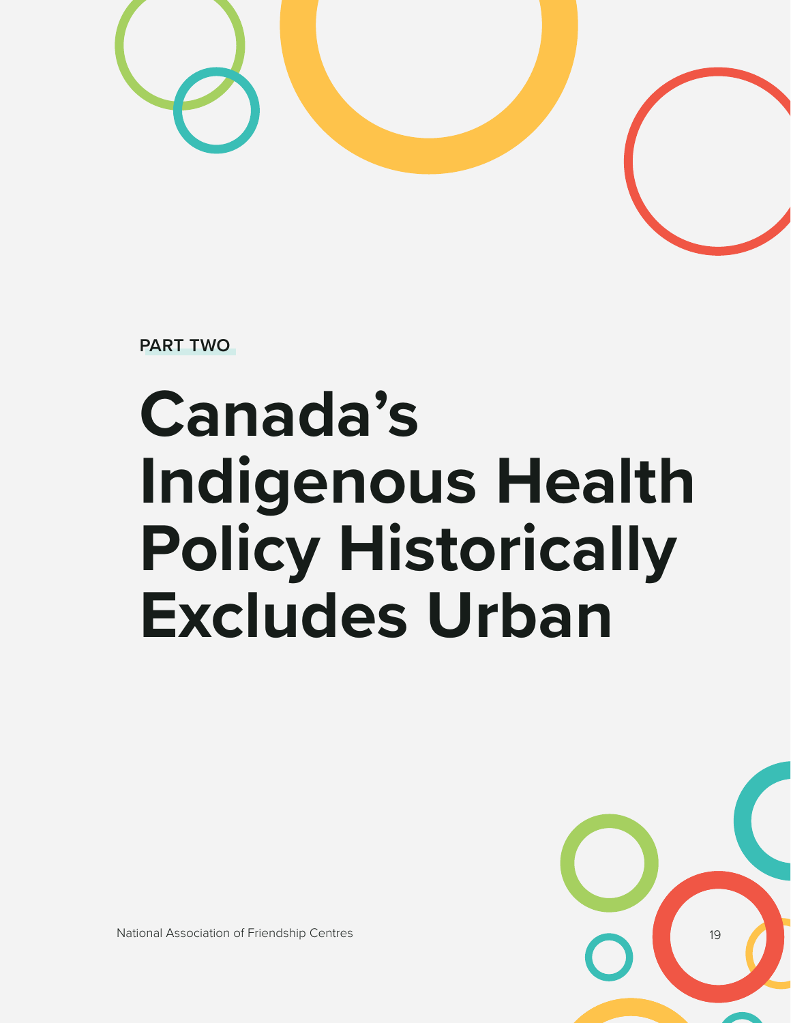

**PART TWO**

# **Canada's Indigenous Health Policy Historically Excludes Urban**



National Association of Friendship Centres 1998 and 1998 and 1998 and 1998 and 1998 and 1998 and 1998 and 199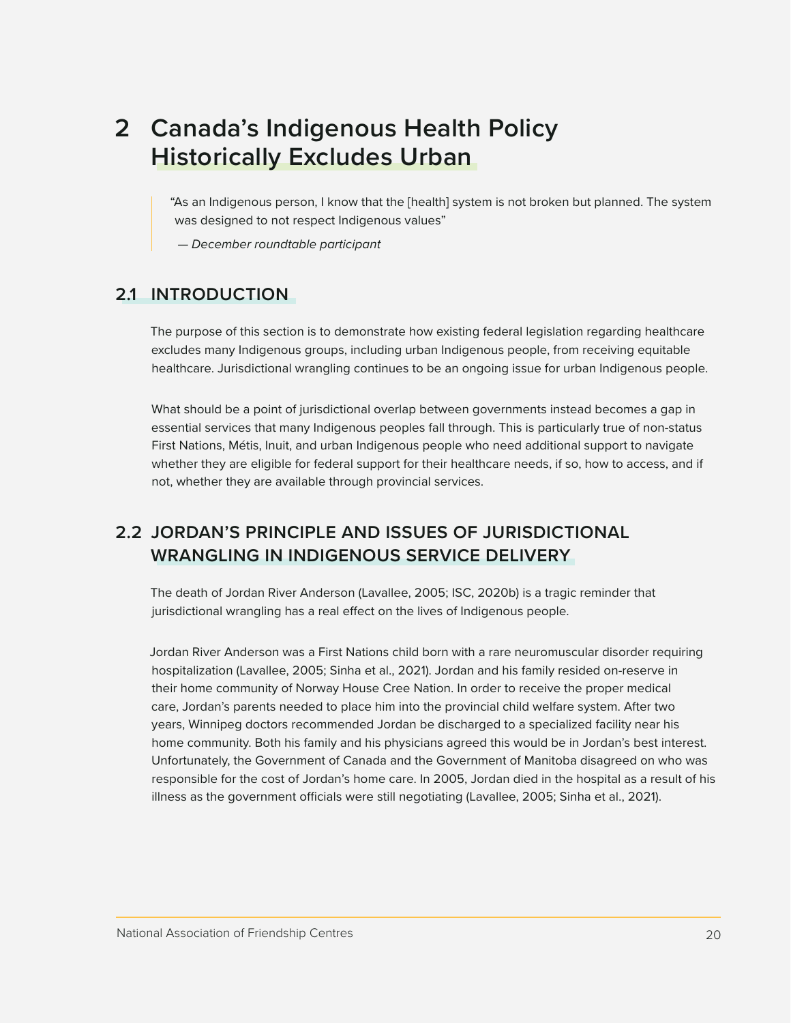## <span id="page-19-0"></span>**2 Canada's Indigenous Health Policy Historically Excludes Urban**

"As an Indigenous person, I know that the [health] system is not broken but planned. The system was designed to not respect Indigenous values"

 *— December roundtable participant*

### **2.1 INTRODUCTION**

The purpose of this section is to demonstrate how existing federal legislation regarding healthcare excludes many Indigenous groups, including urban Indigenous people, from receiving equitable healthcare. Jurisdictional wrangling continues to be an ongoing issue for urban Indigenous people.

What should be a point of jurisdictional overlap between governments instead becomes a gap in essential services that many Indigenous peoples fall through. This is particularly true of non-status First Nations, Métis, Inuit, and urban Indigenous people who need additional support to navigate whether they are eligible for federal support for their healthcare needs, if so, how to access, and if not, whether they are available through provincial services.

## **2.2 JORDAN'S PRINCIPLE AND ISSUES OF JURISDICTIONAL WRANGLING IN INDIGENOUS SERVICE DELIVERY**

The death of Jordan River Anderson (Lavallee, 2005; ISC, 2020b) is a tragic reminder that jurisdictional wrangling has a real effect on the lives of Indigenous people.

Jordan River Anderson was a First Nations child born with a rare neuromuscular disorder requiring hospitalization (Lavallee, 2005; Sinha et al., 2021). Jordan and his family resided on-reserve in their home community of Norway House Cree Nation. In order to receive the proper medical care, Jordan's parents needed to place him into the provincial child welfare system. After two years, Winnipeg doctors recommended Jordan be discharged to a specialized facility near his home community. Both his family and his physicians agreed this would be in Jordan's best interest. Unfortunately, the Government of Canada and the Government of Manitoba disagreed on who was responsible for the cost of Jordan's home care. In 2005, Jordan died in the hospital as a result of his illness as the government officials were still negotiating (Lavallee, 2005; Sinha et al., 2021).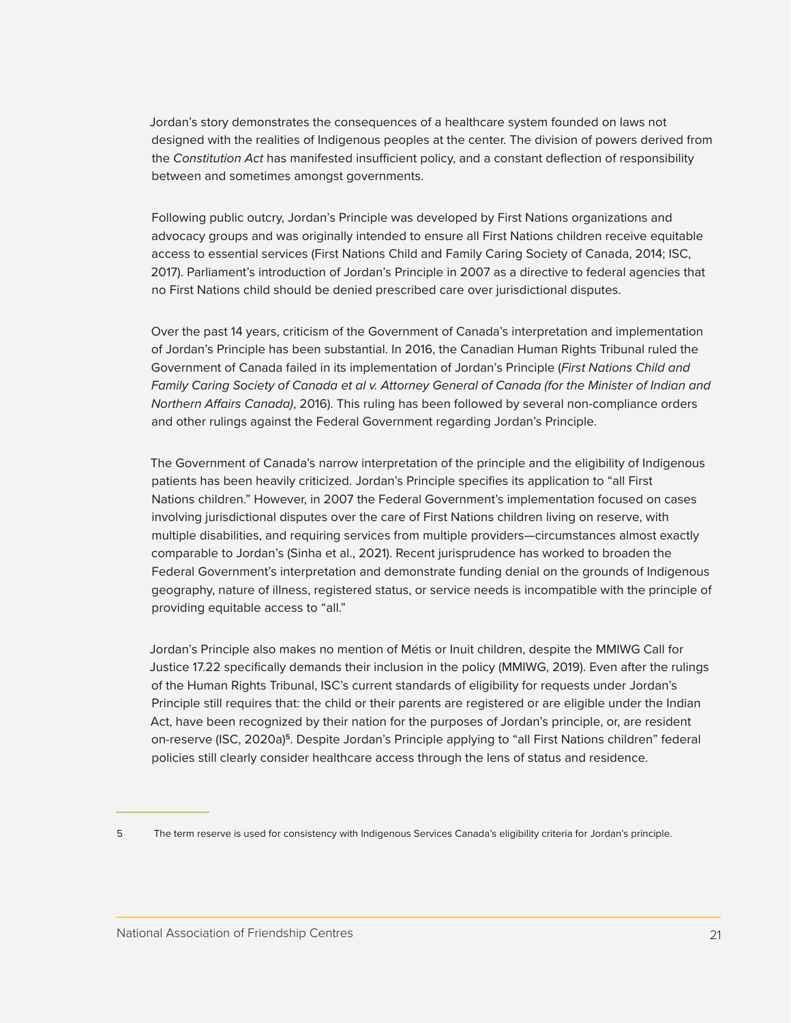Jordan's story demonstrates the consequences of a healthcare system founded on laws not designed with the realities of Indigenous peoples at the center. The division of powers derived from the *Constitution Act* has manifested insufficient policy, and a constant deflection of responsibility between and sometimes amongst governments.

Following public outcry, Jordan's Principle was developed by First Nations organizations and advocacy groups and was originally intended to ensure all First Nations children receive equitable access to essential services (First Nations Child and Family Caring Society of Canada, 2014; ISC, 2017). Parliament's introduction of Jordan's Principle in 2007 as a directive to federal agencies that no First Nations child should be denied prescribed care over jurisdictional disputes.

Over the past 14 years, criticism of the Government of Canada's interpretation and implementation of Jordan's Principle has been substantial. In 2016, the Canadian Human Rights Tribunal ruled the Government of Canada failed in its implementation of Jordan's Principle (*First Nations Child and Family Caring Society of Canada et al v. Attorney General of Canada (for the Minister of Indian and Northern Affairs Canada)*, 2016). This ruling has been followed by several non-compliance orders and other rulings against the Federal Government regarding Jordan's Principle.

The Government of Canada's narrow interpretation of the principle and the eligibility of Indigenous patients has been heavily criticized. Jordan's Principle specifies its application to "all First Nations children." However, in 2007 the Federal Government's implementation focused on cases involving jurisdictional disputes over the care of First Nations children living on reserve, with multiple disabilities, and requiring services from multiple providers—circumstances almost exactly comparable to Jordan's (Sinha et al., 2021). Recent jurisprudence has worked to broaden the Federal Government's interpretation and demonstrate funding denial on the grounds of Indigenous geography, nature of illness, registered status, or service needs is incompatible with the principle of providing equitable access to "all."

Jordan's Principle also makes no mention of Métis or Inuit children, despite the MMIWG Call for Justice 17.22 specifically demands their inclusion in the policy (MMIWG, 2019). Even after the rulings of the Human Rights Tribunal, ISC's current standards of eligibility for requests under Jordan's Principle still requires that: the child or their parents are registered or are eligible under the Indian Act, have been recognized by their nation for the purposes of Jordan's principle, or, are resident on-reserve (ISC, 2020a)**<sup>5</sup>**. Despite Jordan's Principle applying to "all First Nations children" federal policies still clearly consider healthcare access through the lens of status and residence.

<sup>5</sup> The term reserve is used for consistency with Indigenous Services Canada's eligibility criteria for Jordan's principle.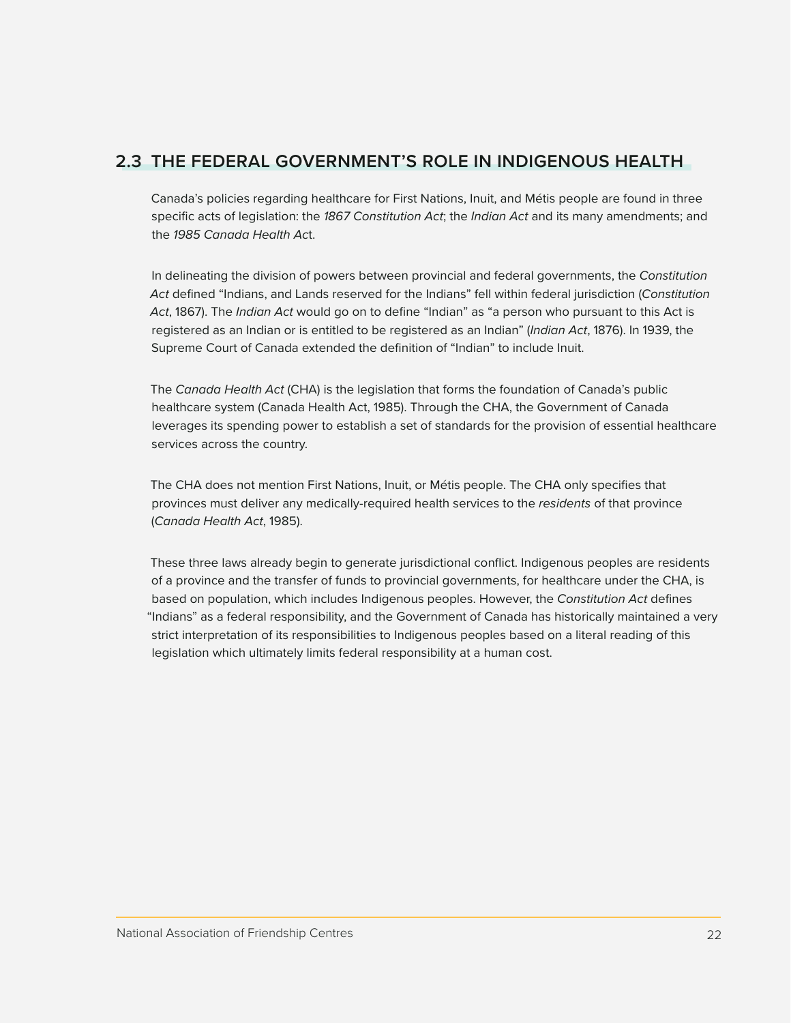## <span id="page-21-0"></span>**2.3 THE FEDERAL GOVERNMENT'S ROLE IN INDIGENOUS HEALTH**

Canada's policies regarding healthcare for First Nations, Inuit, and Métis people are found in three specific acts of legislation: the *1867 Constitution Act*; the *Indian Act* and its many amendments; and the *1985 Canada Health Ac*t.

In delineating the division of powers between provincial and federal governments, the *Constitution Act* defined "Indians, and Lands reserved for the Indians" fell within federal jurisdiction (*Constitution Act*, 1867). The *Indian Act* would go on to define "Indian" as "a person who pursuant to this Act is registered as an Indian or is entitled to be registered as an Indian" (*Indian Act*, 1876). In 1939, the Supreme Court of Canada extended the definition of "Indian" to include Inuit.

The *Canada Health Act* (CHA) is the legislation that forms the foundation of Canada's public healthcare system (Canada Health Act, 1985). Through the CHA, the Government of Canada leverages its spending power to establish a set of standards for the provision of essential healthcare services across the country.

The CHA does not mention First Nations, Inuit, or Métis people. The CHA only specifies that provinces must deliver any medically-required health services to the *residents* of that province (*Canada Health Act*, 1985).

These three laws already begin to generate jurisdictional conflict. Indigenous peoples are residents of a province and the transfer of funds to provincial governments, for healthcare under the CHA, is based on population, which includes Indigenous peoples. However, the *Constitution Act* defines "Indians" as a federal responsibility, and the Government of Canada has historically maintained a very strict interpretation of its responsibilities to Indigenous peoples based on a literal reading of this legislation which ultimately limits federal responsibility at a human cost.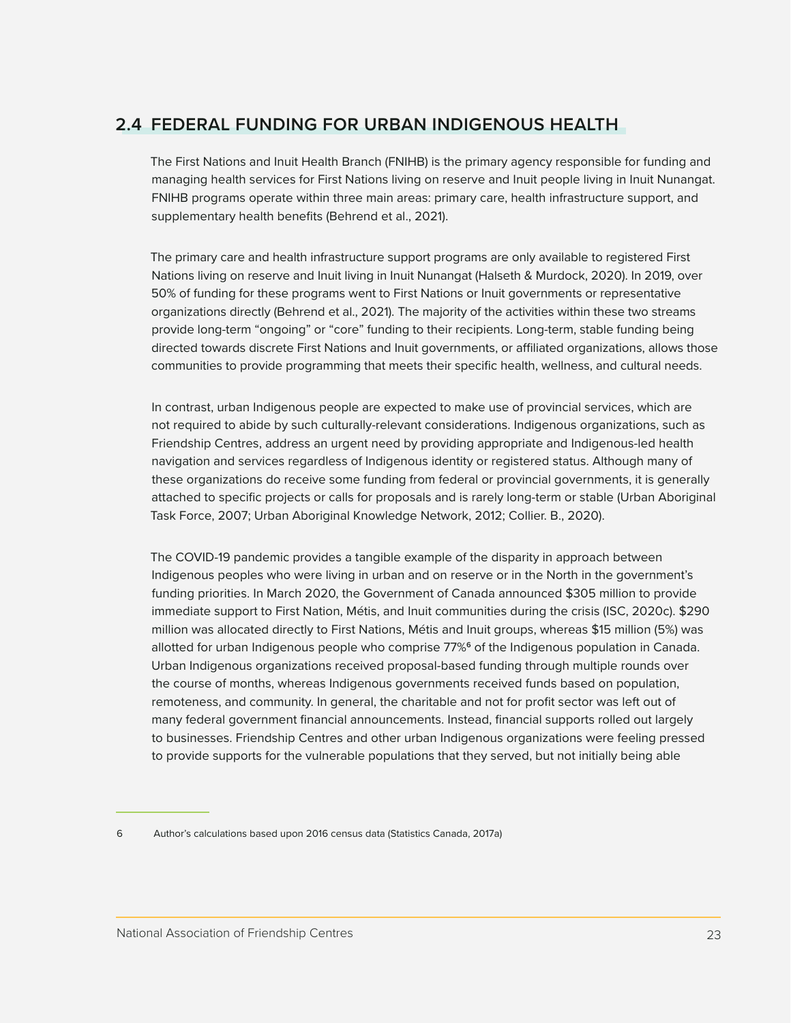## <span id="page-22-0"></span>**2.4 FEDERAL FUNDING FOR URBAN INDIGENOUS HEALTH**

The First Nations and Inuit Health Branch (FNIHB) is the primary agency responsible for funding and managing health services for First Nations living on reserve and Inuit people living in Inuit Nunangat. FNIHB programs operate within three main areas: primary care, health infrastructure support, and supplementary health benefits (Behrend et al., 2021).

The primary care and health infrastructure support programs are only available to registered First Nations living on reserve and Inuit living in Inuit Nunangat (Halseth & Murdock, 2020). In 2019, over 50% of funding for these programs went to First Nations or Inuit governments or representative organizations directly (Behrend et al., 2021). The majority of the activities within these two streams provide long-term "ongoing" or "core" funding to their recipients. Long-term, stable funding being directed towards discrete First Nations and Inuit governments, or affiliated organizations, allows those communities to provide programming that meets their specific health, wellness, and cultural needs.

In contrast, urban Indigenous people are expected to make use of provincial services, which are not required to abide by such culturally-relevant considerations. Indigenous organizations, such as Friendship Centres, address an urgent need by providing appropriate and Indigenous-led health navigation and services regardless of Indigenous identity or registered status. Although many of these organizations do receive some funding from federal or provincial governments, it is generally attached to specific projects or calls for proposals and is rarely long-term or stable (Urban Aboriginal Task Force, 2007; Urban Aboriginal Knowledge Network, 2012; Collier. B., 2020).

The COVID-19 pandemic provides a tangible example of the disparity in approach between Indigenous peoples who were living in urban and on reserve or in the North in the government's funding priorities. In March 2020, the Government of Canada announced \$305 million to provide immediate support to First Nation, Métis, and Inuit communities during the crisis (ISC, 2020c). \$290 million was allocated directly to First Nations, Métis and Inuit groups, whereas \$15 million (5%) was allotted for urban Indigenous people who comprise 77%**<sup>6</sup>** of the Indigenous population in Canada. Urban Indigenous organizations received proposal-based funding through multiple rounds over the course of months, whereas Indigenous governments received funds based on population, remoteness, and community. In general, the charitable and not for profit sector was left out of many federal government financial announcements. Instead, financial supports rolled out largely to businesses. Friendship Centres and other urban Indigenous organizations were feeling pressed to provide supports for the vulnerable populations that they served, but not initially being able

<sup>6</sup> Author's calculations based upon 2016 census data (Statistics Canada, 2017a)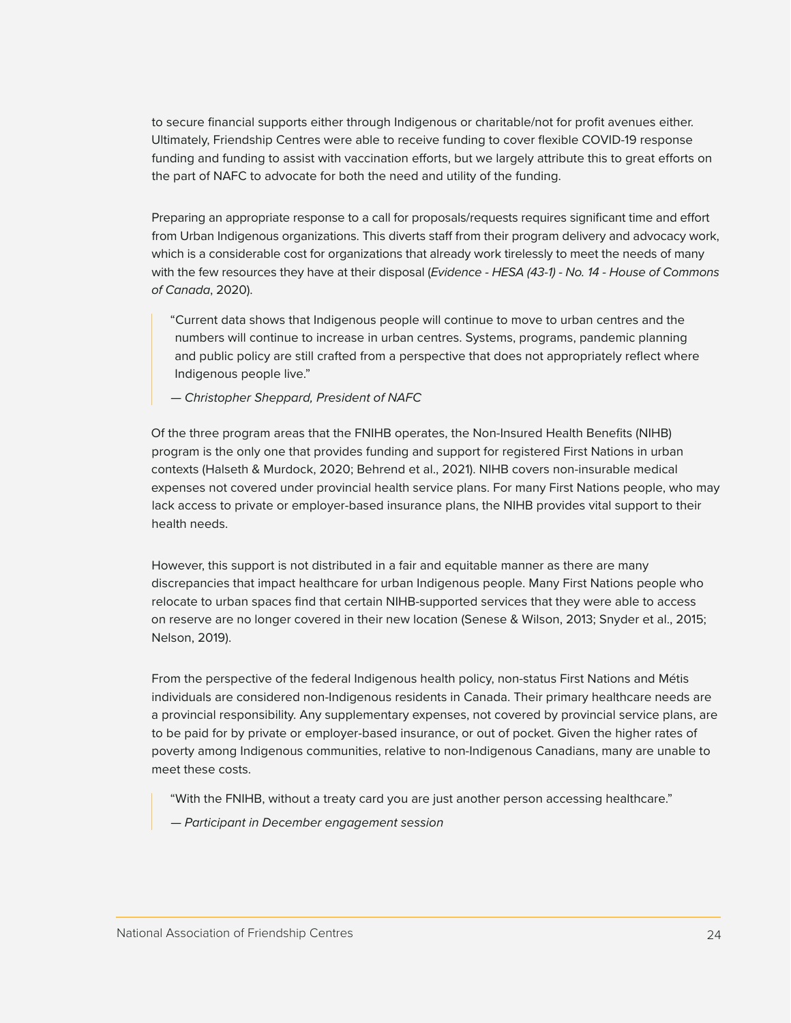to secure financial supports either through Indigenous or charitable/not for profit avenues either. Ultimately, Friendship Centres were able to receive funding to cover flexible COVID-19 response funding and funding to assist with vaccination efforts, but we largely attribute this to great efforts on the part of NAFC to advocate for both the need and utility of the funding.

Preparing an appropriate response to a call for proposals/requests requires significant time and effort from Urban Indigenous organizations. This diverts staff from their program delivery and advocacy work, which is a considerable cost for organizations that already work tirelessly to meet the needs of many with the few resources they have at their disposal (*Evidence - HESA (43-1) - No. 14 - House of Commons of Canada*, 2020).

"Current data shows that Indigenous people will continue to move to urban centres and the numbers will continue to increase in urban centres. Systems, programs, pandemic planning and public policy are still crafted from a perspective that does not appropriately reflect where Indigenous people live."

*— Christopher Sheppard, President of NAFC*

Of the three program areas that the FNIHB operates, the Non-Insured Health Benefits (NIHB) program is the only one that provides funding and support for registered First Nations in urban contexts (Halseth & Murdock, 2020; Behrend et al., 2021). NIHB covers non-insurable medical expenses not covered under provincial health service plans. For many First Nations people, who may lack access to private or employer-based insurance plans, the NIHB provides vital support to their health needs.

However, this support is not distributed in a fair and equitable manner as there are many discrepancies that impact healthcare for urban Indigenous people. Many First Nations people who relocate to urban spaces find that certain NIHB-supported services that they were able to access on reserve are no longer covered in their new location (Senese & Wilson, 2013; Snyder et al., 2015; Nelson, 2019).

From the perspective of the federal Indigenous health policy, non-status First Nations and Métis individuals are considered non-Indigenous residents in Canada. Their primary healthcare needs are a provincial responsibility. Any supplementary expenses, not covered by provincial service plans, are to be paid for by private or employer-based insurance, or out of pocket. Given the higher rates of poverty among Indigenous communities, relative to non-Indigenous Canadians, many are unable to meet these costs.

"With the FNIHB, without a treaty card you are just another person accessing healthcare."

*— Participant in December engagement session*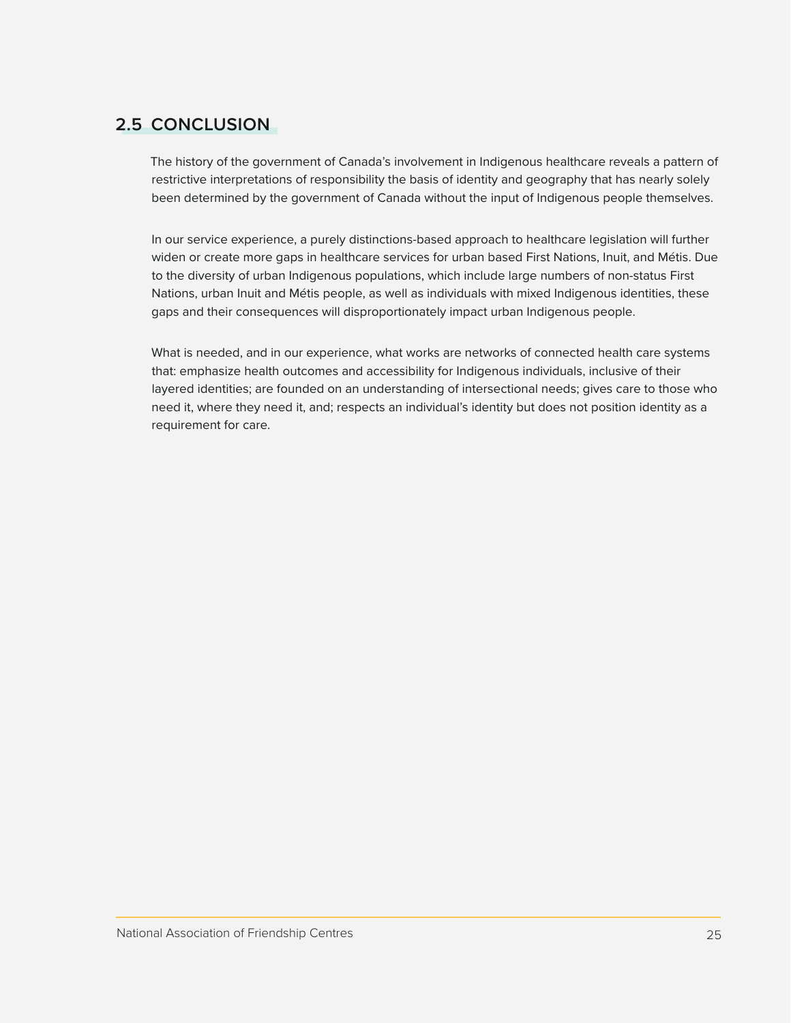## <span id="page-24-0"></span>**2.5 CONCLUSION**

The history of the government of Canada's involvement in Indigenous healthcare reveals a pattern of restrictive interpretations of responsibility the basis of identity and geography that has nearly solely been determined by the government of Canada without the input of Indigenous people themselves.

In our service experience, a purely distinctions-based approach to healthcare legislation will further widen or create more gaps in healthcare services for urban based First Nations, Inuit, and Métis. Due to the diversity of urban Indigenous populations, which include large numbers of non-status First Nations, urban Inuit and Métis people, as well as individuals with mixed Indigenous identities, these gaps and their consequences will disproportionately impact urban Indigenous people.

What is needed, and in our experience, what works are networks of connected health care systems that: emphasize health outcomes and accessibility for Indigenous individuals, inclusive of their layered identities; are founded on an understanding of intersectional needs; gives care to those who need it, where they need it, and; respects an individual's identity but does not position identity as a requirement for care.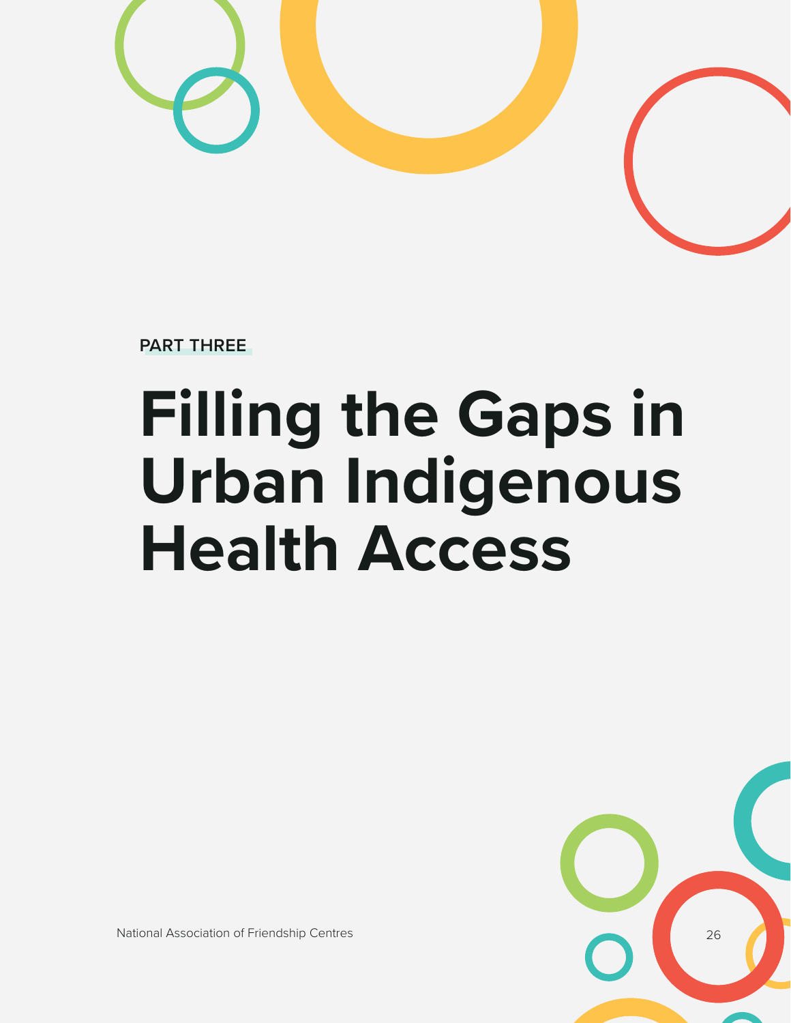

**PART THREE**

# **Filling the Gaps in Urban Indigenous Health Access**



National Association of Friendship Centres 26 (26) 26 (26) 26 (26) 26 (26) 26 (26) 26 (26) 26 (26) 26 (26) 26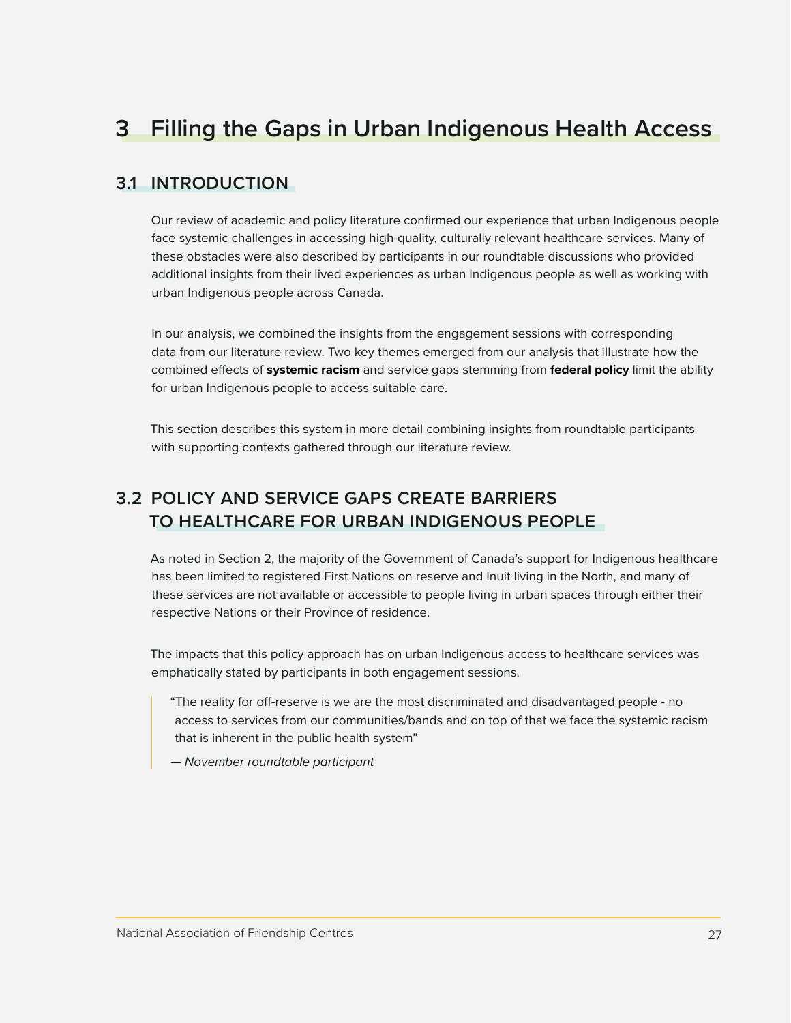## <span id="page-26-0"></span>**3 Filling the Gaps in Urban Indigenous Health Access**

### **3.1 INTRODUCTION**

Our review of academic and policy literature confirmed our experience that urban Indigenous people face systemic challenges in accessing high-quality, culturally relevant healthcare services. Many of these obstacles were also described by participants in our roundtable discussions who provided additional insights from their lived experiences as urban Indigenous people as well as working with urban Indigenous people across Canada.

In our analysis, we combined the insights from the engagement sessions with corresponding data from our literature review. Two key themes emerged from our analysis that illustrate how the combined effects of **systemic racism** and service gaps stemming from **federal policy** limit the ability for urban Indigenous people to access suitable care.

This section describes this system in more detail combining insights from roundtable participants with supporting contexts gathered through our literature review.

## **3.2 POLICY AND SERVICE GAPS CREATE BARRIERS TO HEALTHCARE FOR URBAN INDIGENOUS PEOPLE**

As noted in Section 2, the majority of the Government of Canada's support for Indigenous healthcare has been limited to registered First Nations on reserve and Inuit living in the North, and many of these services are not available or accessible to people living in urban spaces through either their respective Nations or their Province of residence.

The impacts that this policy approach has on urban Indigenous access to healthcare services was emphatically stated by participants in both engagement sessions.

"The reality for off-reserve is we are the most discriminated and disadvantaged people - no access to services from our communities/bands and on top of that we face the systemic racism that is inherent in the public health system"

*— November roundtable participant*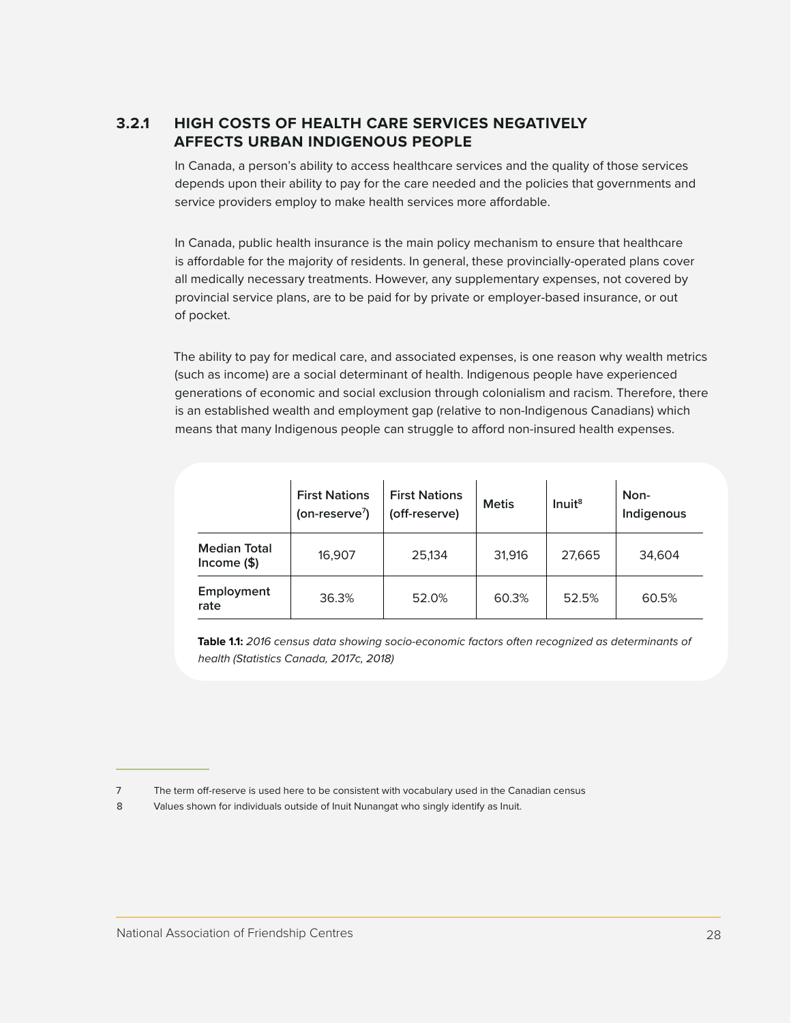#### <span id="page-27-0"></span>**3.2.1 HIGH COSTS OF HEALTH CARE SERVICES NEGATIVELY AFFECTS URBAN INDIGENOUS PEOPLE**

In Canada, a person's ability to access healthcare services and the quality of those services depends upon their ability to pay for the care needed and the policies that governments and service providers employ to make health services more affordable.

In Canada, public health insurance is the main policy mechanism to ensure that healthcare is affordable for the majority of residents. In general, these provincially-operated plans cover all medically necessary treatments. However, any supplementary expenses, not covered by provincial service plans, are to be paid for by private or employer-based insurance, or out of pocket.

The ability to pay for medical care, and associated expenses, is one reason why wealth metrics (such as income) are a social determinant of health. Indigenous people have experienced generations of economic and social exclusion through colonialism and racism. Therefore, there is an established wealth and employment gap (relative to non-Indigenous Canadians) which means that many Indigenous people can struggle to afford non-insured health expenses.

|                                     | <b>First Nations</b><br>(on-reserve <sup>7</sup> ) | <b>First Nations</b><br>(off-reserve) | <b>Metis</b> | Inuit <sup>8</sup> | Non-<br>Indigenous |
|-------------------------------------|----------------------------------------------------|---------------------------------------|--------------|--------------------|--------------------|
| <b>Median Total</b><br>Income $($)$ | 16,907                                             | 25,134                                | 31,916       | 27,665             | 34,604             |
| Employment<br>rate                  | 36.3%                                              | 52.0%                                 | 60.3%        | 52.5%              | 60.5%              |

**Table 1.1:** *2016 census data showing socio-economic factors often recognized as determinants of health (Statistics Canada, 2017c, 2018)*

<sup>7</sup> The term off-reserve is used here to be consistent with vocabulary used in the Canadian census

<sup>8</sup> Values shown for individuals outside of Inuit Nunangat who singly identify as Inuit.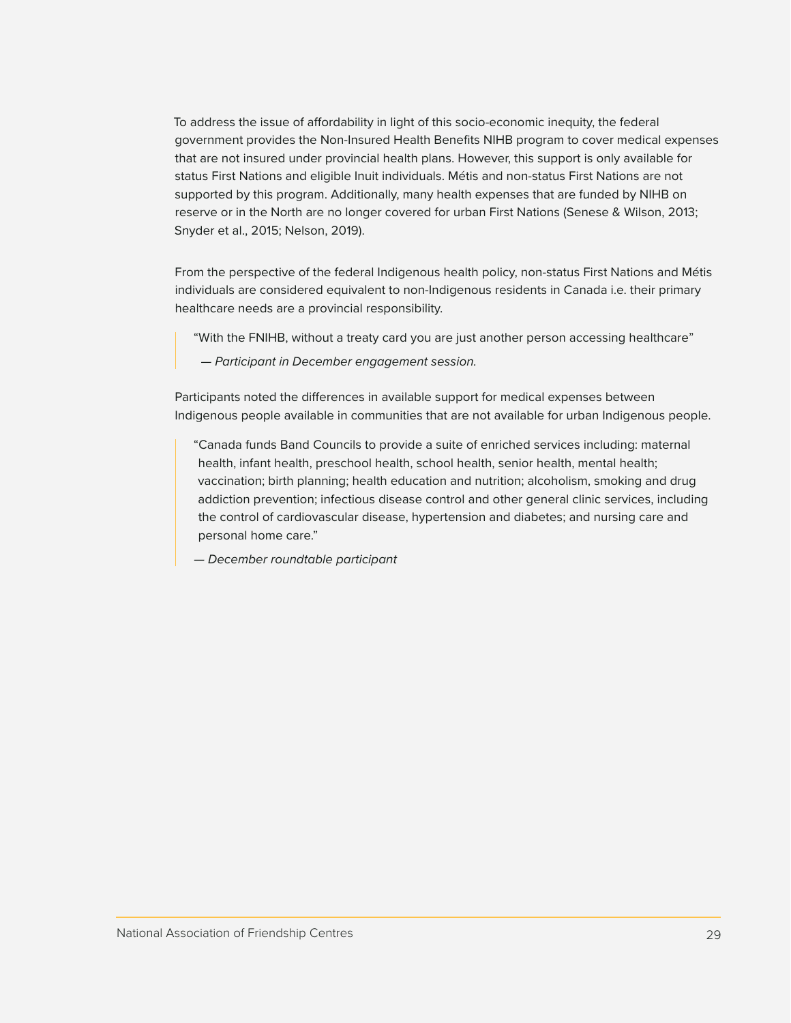To address the issue of affordability in light of this socio-economic inequity, the federal government provides the Non-Insured Health Benefits NIHB program to cover medical expenses that are not insured under provincial health plans. However, this support is only available for status First Nations and eligible Inuit individuals. Métis and non-status First Nations are not supported by this program. Additionally, many health expenses that are funded by NIHB on reserve or in the North are no longer covered for urban First Nations (Senese & Wilson, 2013; Snyder et al., 2015; Nelson, 2019).

From the perspective of the federal Indigenous health policy, non-status First Nations and Métis individuals are considered equivalent to non-Indigenous residents in Canada i.e. their primary healthcare needs are a provincial responsibility.

- "With the FNIHB, without a treaty card you are just another person accessing healthcare"
- *Participant in December engagement session.*

Participants noted the differences in available support for medical expenses between Indigenous people available in communities that are not available for urban Indigenous people.

"Canada funds Band Councils to provide a suite of enriched services including: maternal health, infant health, preschool health, school health, senior health, mental health; vaccination; birth planning; health education and nutrition; alcoholism, smoking and drug addiction prevention; infectious disease control and other general clinic services, including the control of cardiovascular disease, hypertension and diabetes; and nursing care and personal home care."

*— December roundtable participant*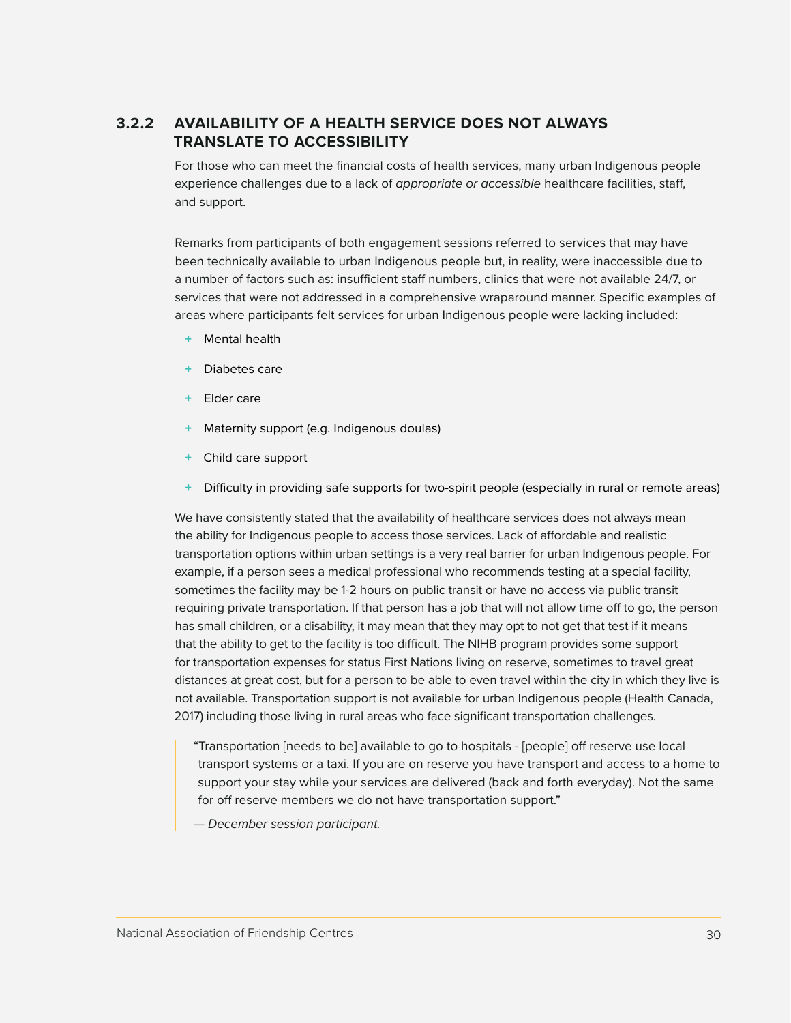#### <span id="page-29-0"></span>**3.2.2 AVAILABILITY OF A HEALTH SERVICE DOES NOT ALWAYS TRANSLATE TO ACCESSIBILITY**

For those who can meet the financial costs of health services, many urban Indigenous people experience challenges due to a lack of *appropriate or accessible* healthcare facilities, staff, and support.

Remarks from participants of both engagement sessions referred to services that may have been technically available to urban Indigenous people but, in reality, were inaccessible due to a number of factors such as: insufficient staff numbers, clinics that were not available 24/7, or services that were not addressed in a comprehensive wraparound manner. Specific examples of areas where participants felt services for urban Indigenous people were lacking included:

- + Mental health
- Diabetes care
- + Elder care
- Maternity support (e.g. Indigenous doulas)
- + Child care support
- Difficulty in providing safe supports for two-spirit people (especially in rural or remote areas)

We have consistently stated that the availability of healthcare services does not always mean the ability for Indigenous people to access those services. Lack of affordable and realistic transportation options within urban settings is a very real barrier for urban Indigenous people. For example, if a person sees a medical professional who recommends testing at a special facility, sometimes the facility may be 1-2 hours on public transit or have no access via public transit requiring private transportation. If that person has a job that will not allow time off to go, the person has small children, or a disability, it may mean that they may opt to not get that test if it means that the ability to get to the facility is too difficult. The NIHB program provides some support for transportation expenses for status First Nations living on reserve, sometimes to travel great distances at great cost, but for a person to be able to even travel within the city in which they live is not available. Transportation support is not available for urban Indigenous people (Health Canada, 2017) including those living in rural areas who face significant transportation challenges.

- "Transportation [needs to be] available to go to hospitals [people] off reserve use local transport systems or a taxi. If you are on reserve you have transport and access to a home to support your stay while your services are delivered (back and forth everyday). Not the same for off reserve members we do not have transportation support."
- *December session participant.*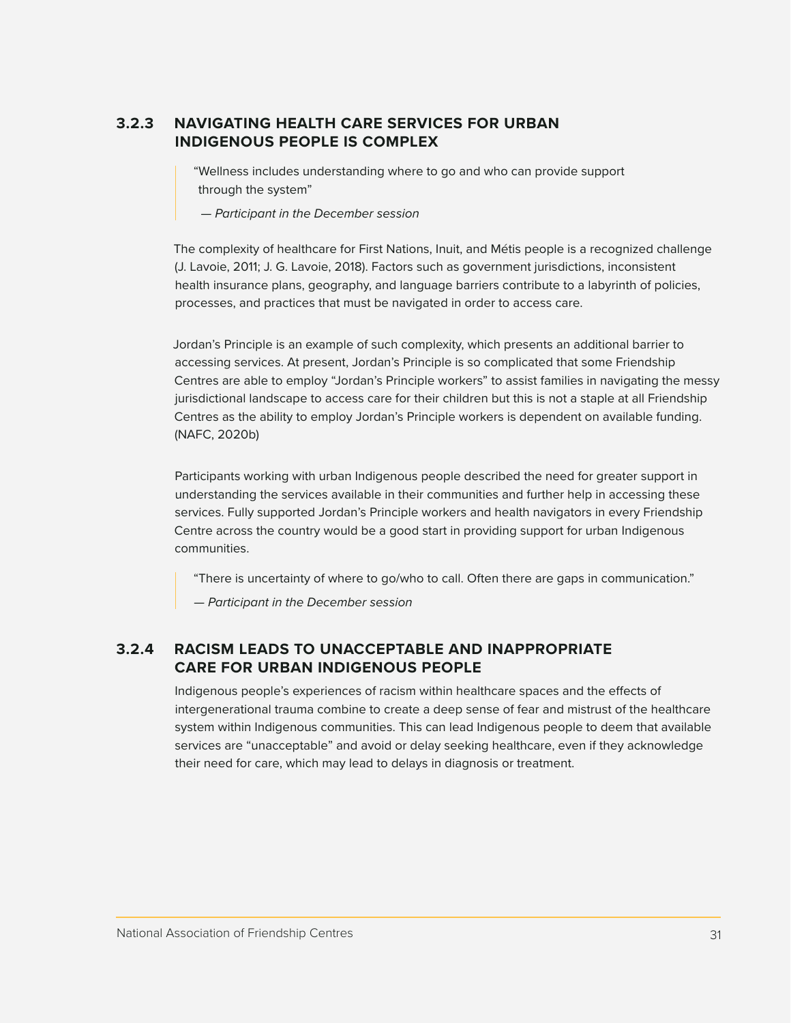#### <span id="page-30-0"></span>**3.2.3 NAVIGATING HEALTH CARE SERVICES FOR URBAN INDIGENOUS PEOPLE IS COMPLEX**

"Wellness includes understanding where to go and who can provide support through the system"

 *— Participant in the December session*

The complexity of healthcare for First Nations, Inuit, and Métis people is a recognized challenge (J. Lavoie, 2011; J. G. Lavoie, 2018). Factors such as government jurisdictions, inconsistent health insurance plans, geography, and language barriers contribute to a labyrinth of policies, processes, and practices that must be navigated in order to access care.

Jordan's Principle is an example of such complexity, which presents an additional barrier to accessing services. At present, Jordan's Principle is so complicated that some Friendship Centres are able to employ "Jordan's Principle workers" to assist families in navigating the messy jurisdictional landscape to access care for their children but this is not a staple at all Friendship Centres as the ability to employ Jordan's Principle workers is dependent on available funding. (NAFC, 2020b)

Participants working with urban Indigenous people described the need for greater support in understanding the services available in their communities and further help in accessing these services. Fully supported Jordan's Principle workers and health navigators in every Friendship Centre across the country would be a good start in providing support for urban Indigenous communities.

"There is uncertainty of where to go/who to call. Often there are gaps in communication."

*— Participant in the December session*

#### **3.2.4 RACISM LEADS TO UNACCEPTABLE AND INAPPROPRIATE CARE FOR URBAN INDIGENOUS PEOPLE**

Indigenous people's experiences of racism within healthcare spaces and the effects of intergenerational trauma combine to create a deep sense of fear and mistrust of the healthcare system within Indigenous communities. This can lead Indigenous people to deem that available services are "unacceptable" and avoid or delay seeking healthcare, even if they acknowledge their need for care, which may lead to delays in diagnosis or treatment.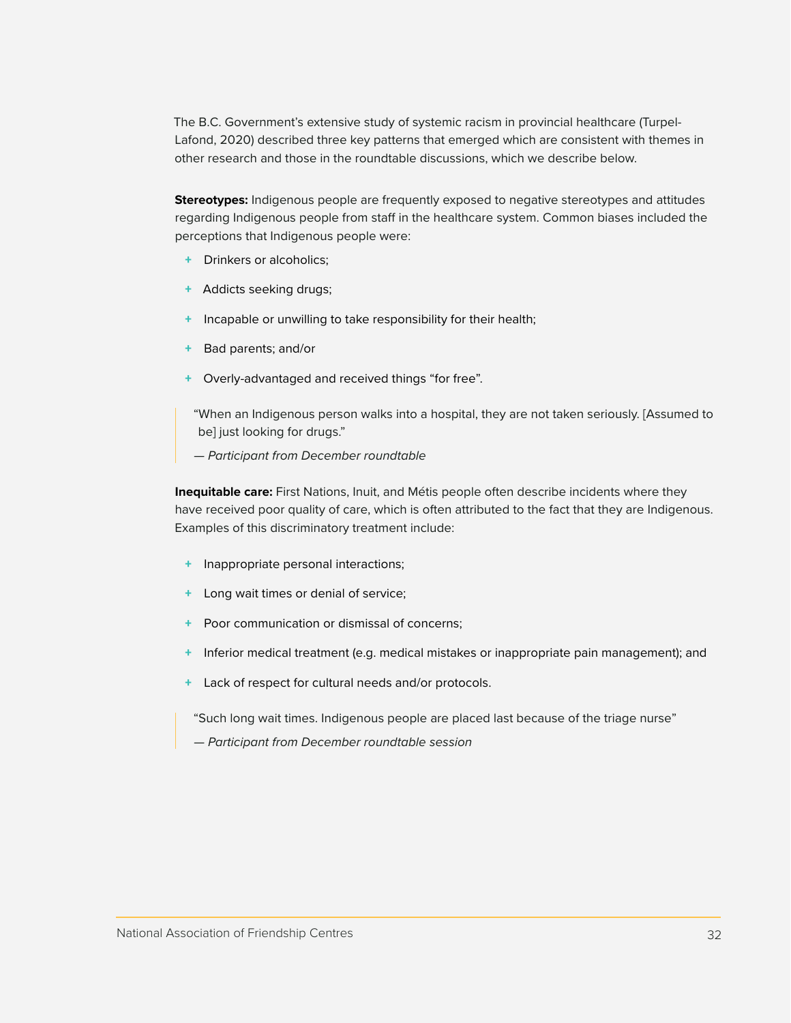The B.C. Government's extensive study of systemic racism in provincial healthcare (Turpel-Lafond, 2020) described three key patterns that emerged which are consistent with themes in other research and those in the roundtable discussions, which we describe below.

**Stereotypes:** Indigenous people are frequently exposed to negative stereotypes and attitudes regarding Indigenous people from staff in the healthcare system. Common biases included the perceptions that Indigenous people were:

- + Drinkers or alcoholics;
- + Addicts seeking drugs;
- + Incapable or unwilling to take responsibility for their health;
- + Bad parents; and/or
- + Overly-advantaged and received things "for free".
- "When an Indigenous person walks into a hospital, they are not taken seriously. [Assumed to be] just looking for drugs."
- *Participant from December roundtable*

**Inequitable care:** First Nations, Inuit, and Métis people often describe incidents where they have received poor quality of care, which is often attributed to the fact that they are Indigenous. Examples of this discriminatory treatment include:

- + Inappropriate personal interactions;
- + Long wait times or denial of service;
- + Poor communication or dismissal of concerns;
- + Inferior medical treatment (e.g. medical mistakes or inappropriate pain management); and
- + Lack of respect for cultural needs and/or protocols.

"Such long wait times. Indigenous people are placed last because of the triage nurse"

*— Participant from December roundtable session*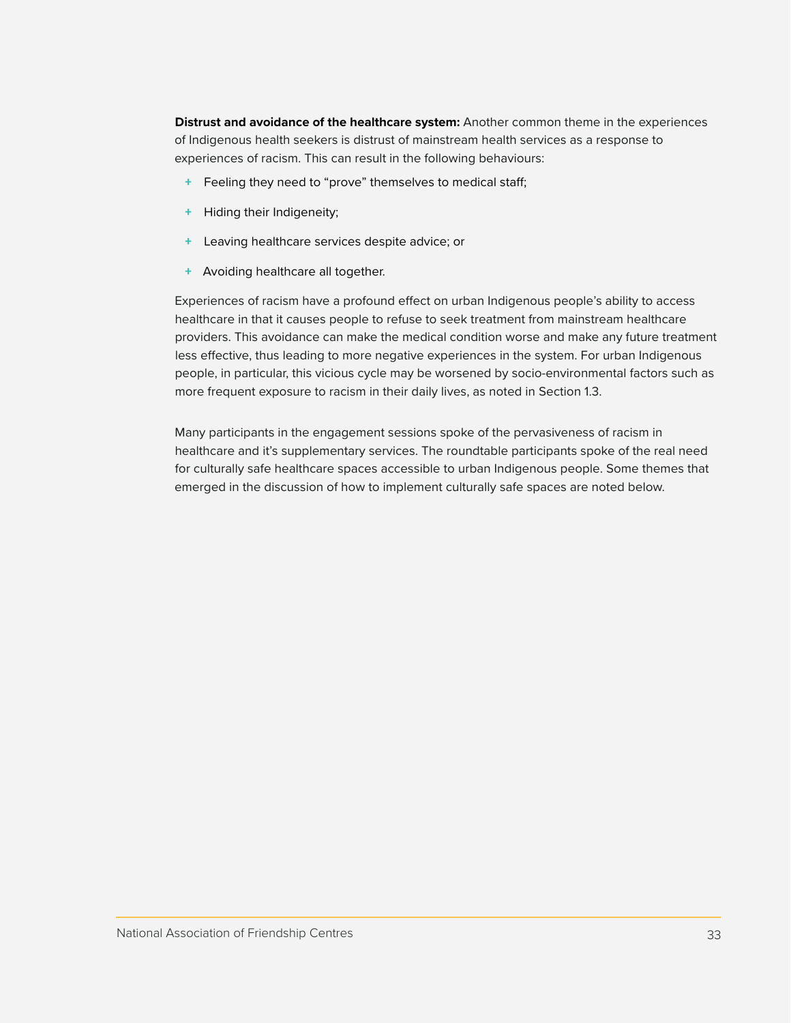**Distrust and avoidance of the healthcare system:** Another common theme in the experiences of Indigenous health seekers is distrust of mainstream health services as a response to experiences of racism. This can result in the following behaviours:

- + Feeling they need to "prove" themselves to medical staff;
- + Hiding their Indigeneity;
- Leaving healthcare services despite advice; or
- + Avoiding healthcare all together.

Experiences of racism have a profound effect on urban Indigenous people's ability to access healthcare in that it causes people to refuse to seek treatment from mainstream healthcare providers. This avoidance can make the medical condition worse and make any future treatment less effective, thus leading to more negative experiences in the system. For urban Indigenous people, in particular, this vicious cycle may be worsened by socio-environmental factors such as more frequent exposure to racism in their daily lives, as noted in Section 1.3.

Many participants in the engagement sessions spoke of the pervasiveness of racism in healthcare and it's supplementary services. The roundtable participants spoke of the real need for culturally safe healthcare spaces accessible to urban Indigenous people. Some themes that emerged in the discussion of how to implement culturally safe spaces are noted below.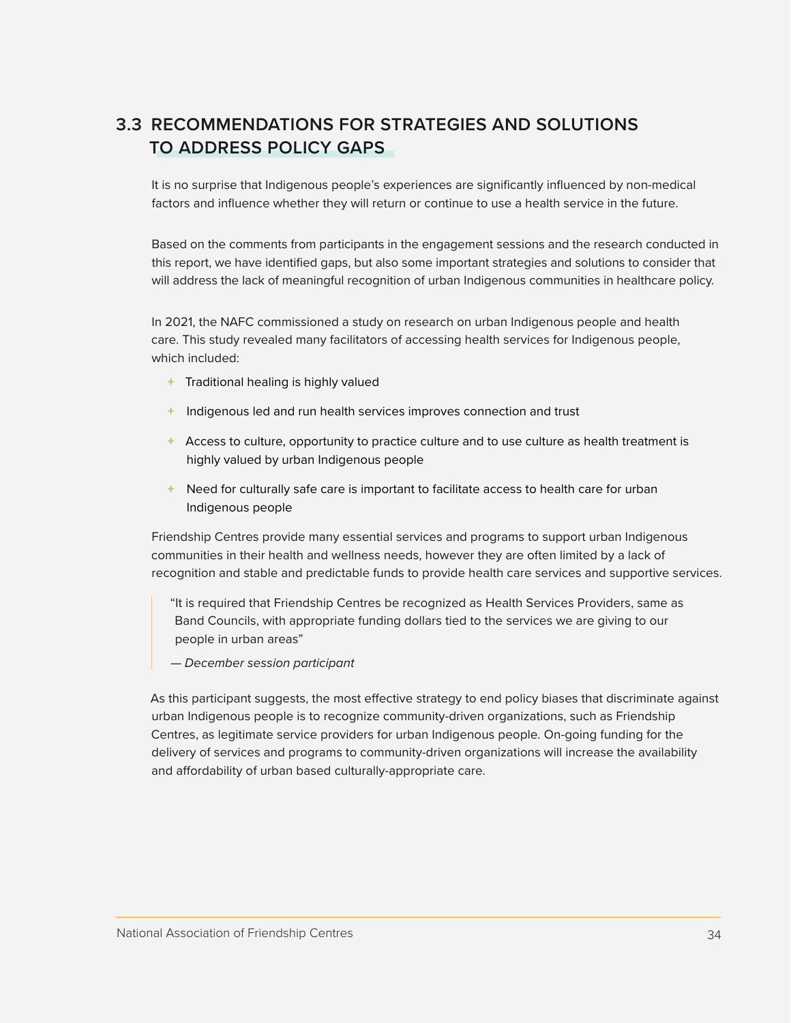## <span id="page-33-0"></span>**3.3 RECOMMENDATIONS FOR STRATEGIES AND SOLUTIONS TO ADDRESS POLICY GAPS**

It is no surprise that Indigenous people's experiences are significantly influenced by non-medical factors and influence whether they will return or continue to use a health service in the future.

Based on the comments from participants in the engagement sessions and the research conducted in this report, we have identified gaps, but also some important strategies and solutions to consider that will address the lack of meaningful recognition of urban Indigenous communities in healthcare policy.

In 2021, the NAFC commissioned a study on research on urban Indigenous people and health care. This study revealed many facilitators of accessing health services for Indigenous people, which included:

- + Traditional healing is highly valued
- + Indigenous led and run health services improves connection and trust
- + Access to culture, opportunity to practice culture and to use culture as health treatment is highly valued by urban Indigenous people
- + Need for culturally safe care is important to facilitate access to health care for urban Indigenous people

Friendship Centres provide many essential services and programs to support urban Indigenous communities in their health and wellness needs, however they are often limited by a lack of recognition and stable and predictable funds to provide health care services and supportive services.

"It is required that Friendship Centres be recognized as Health Services Providers, same as Band Councils, with appropriate funding dollars tied to the services we are giving to our people in urban areas"

*— December session participant*

As this participant suggests, the most effective strategy to end policy biases that discriminate against urban Indigenous people is to recognize community-driven organizations, such as Friendship Centres, as legitimate service providers for urban Indigenous people. On-going funding for the delivery of services and programs to community-driven organizations will increase the availability and affordability of urban based culturally-appropriate care.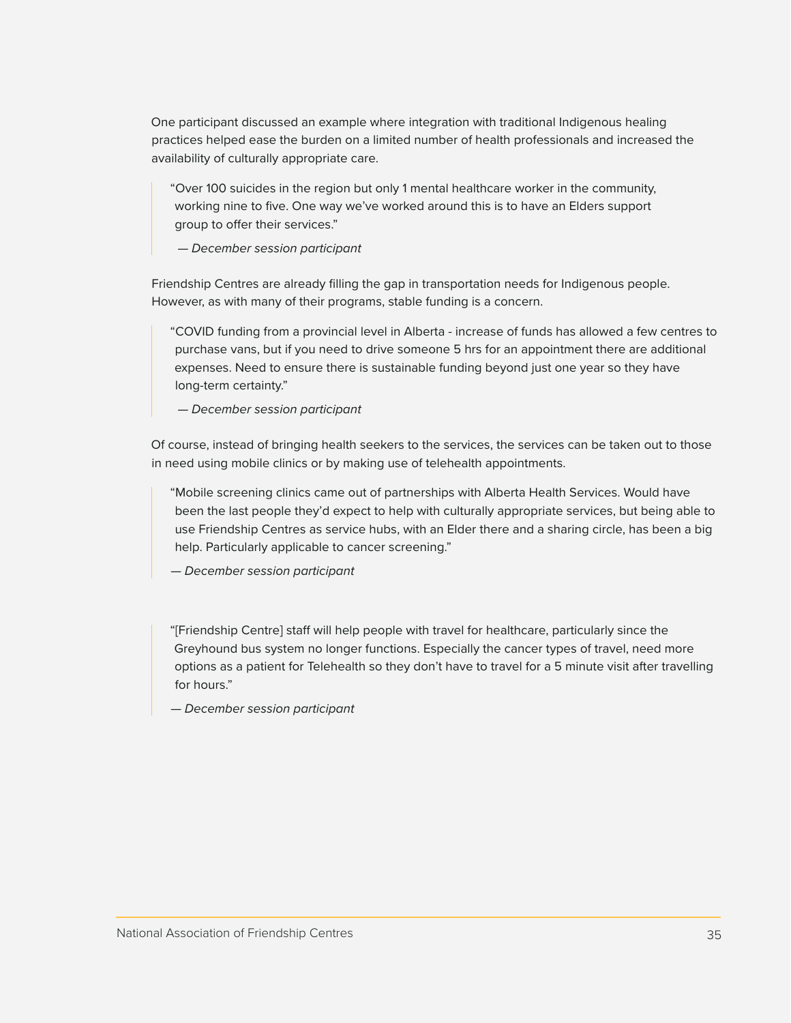One participant discussed an example where integration with traditional Indigenous healing practices helped ease the burden on a limited number of health professionals and increased the availability of culturally appropriate care.

"Over 100 suicides in the region but only 1 mental healthcare worker in the community, working nine to five. One way we've worked around this is to have an Elders support group to offer their services."

 *— December session participant*

Friendship Centres are already filling the gap in transportation needs for Indigenous people. However, as with many of their programs, stable funding is a concern.

"COVID funding from a provincial level in Alberta - increase of funds has allowed a few centres to purchase vans, but if you need to drive someone 5 hrs for an appointment there are additional expenses. Need to ensure there is sustainable funding beyond just one year so they have long-term certainty."

 *— December session participant*

Of course, instead of bringing health seekers to the services, the services can be taken out to those in need using mobile clinics or by making use of telehealth appointments.

"Mobile screening clinics came out of partnerships with Alberta Health Services. Would have been the last people they'd expect to help with culturally appropriate services, but being able to use Friendship Centres as service hubs, with an Elder there and a sharing circle, has been a big help. Particularly applicable to cancer screening."

*— December session participant*

"[Friendship Centre] staff will help people with travel for healthcare, particularly since the Greyhound bus system no longer functions. Especially the cancer types of travel, need more options as a patient for Telehealth so they don't have to travel for a 5 minute visit after travelling for hours."

*— December session participant*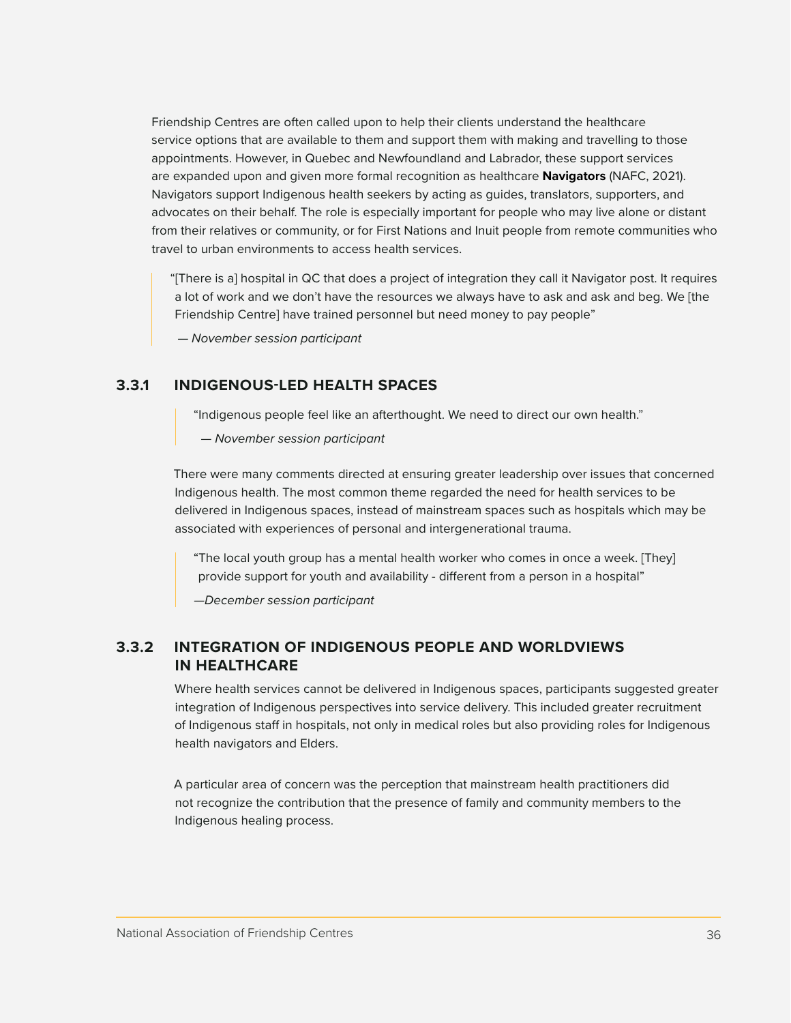<span id="page-35-0"></span>Friendship Centres are often called upon to help their clients understand the healthcare service options that are available to them and support them with making and travelling to those appointments. However, in Quebec and Newfoundland and Labrador, these support services are expanded upon and given more formal recognition as healthcare **Navigators** (NAFC, 2021). Navigators support Indigenous health seekers by acting as guides, translators, supporters, and advocates on their behalf. The role is especially important for people who may live alone or distant from their relatives or community, or for First Nations and Inuit people from remote communities who travel to urban environments to access health services.

"[There is a] hospital in QC that does a project of integration they call it Navigator post. It requires a lot of work and we don't have the resources we always have to ask and ask and beg. We [the Friendship Centre] have trained personnel but need money to pay people"

 *— November session participant*

#### **3.3.1 INDIGENOUS-LED HEALTH SPACES**

"Indigenous people feel like an afterthought. We need to direct our own health."

 *— November session participant*

There were many comments directed at ensuring greater leadership over issues that concerned Indigenous health. The most common theme regarded the need for health services to be delivered in Indigenous spaces, instead of mainstream spaces such as hospitals which may be associated with experiences of personal and intergenerational trauma.

"The local youth group has a mental health worker who comes in once a week. [They] provide support for youth and availability - different from a person in a hospital"

*—December session participant*

#### **3.3.2 INTEGRATION OF INDIGENOUS PEOPLE AND WORLDVIEWS IN HEALTHCARE**

Where health services cannot be delivered in Indigenous spaces, participants suggested greater integration of Indigenous perspectives into service delivery. This included greater recruitment of Indigenous staff in hospitals, not only in medical roles but also providing roles for Indigenous health navigators and Elders.

A particular area of concern was the perception that mainstream health practitioners did not recognize the contribution that the presence of family and community members to the Indigenous healing process.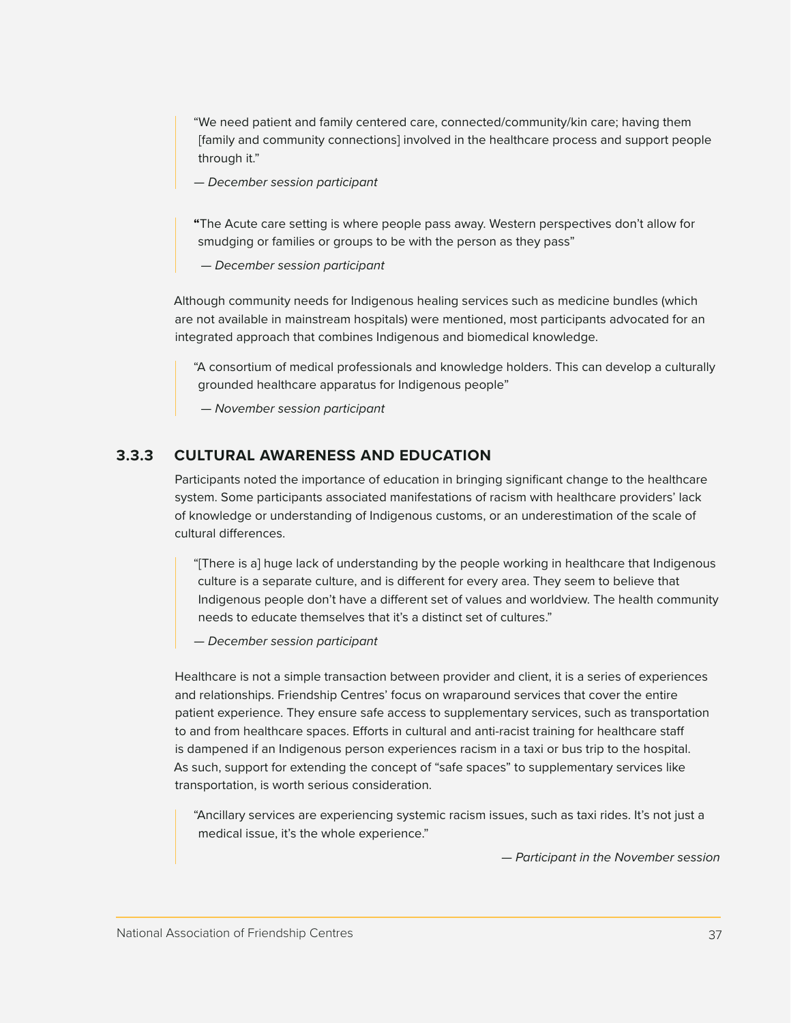<span id="page-36-0"></span>"We need patient and family centered care, connected/community/kin care; having them [family and community connections] involved in the healthcare process and support people through it."

*— December session participant*

**"**The Acute care setting is where people pass away. Western perspectives don't allow for smudging or families or groups to be with the person as they pass"

 *— December session participant*

Although community needs for Indigenous healing services such as medicine bundles (which are not available in mainstream hospitals) were mentioned, most participants advocated for an integrated approach that combines Indigenous and biomedical knowledge.

"A consortium of medical professionals and knowledge holders. This can develop a culturally grounded healthcare apparatus for Indigenous people"

 *— November session participant*

#### **3.3.3 CULTURAL AWARENESS AND EDUCATION**

Participants noted the importance of education in bringing significant change to the healthcare system. Some participants associated manifestations of racism with healthcare providers' lack of knowledge or understanding of Indigenous customs, or an underestimation of the scale of cultural differences.

"[There is a] huge lack of understanding by the people working in healthcare that Indigenous culture is a separate culture, and is different for every area. They seem to believe that Indigenous people don't have a different set of values and worldview. The health community needs to educate themselves that it's a distinct set of cultures."

*— December session participant*

Healthcare is not a simple transaction between provider and client, it is a series of experiences and relationships. Friendship Centres' focus on wraparound services that cover the entire patient experience. They ensure safe access to supplementary services, such as transportation to and from healthcare spaces. Efforts in cultural and anti-racist training for healthcare staff is dampened if an Indigenous person experiences racism in a taxi or bus trip to the hospital. As such, support for extending the concept of "safe spaces" to supplementary services like transportation, is worth serious consideration.

"Ancillary services are experiencing systemic racism issues, such as taxi rides. It's not just a medical issue, it's the whole experience."

*— Participant in the November session*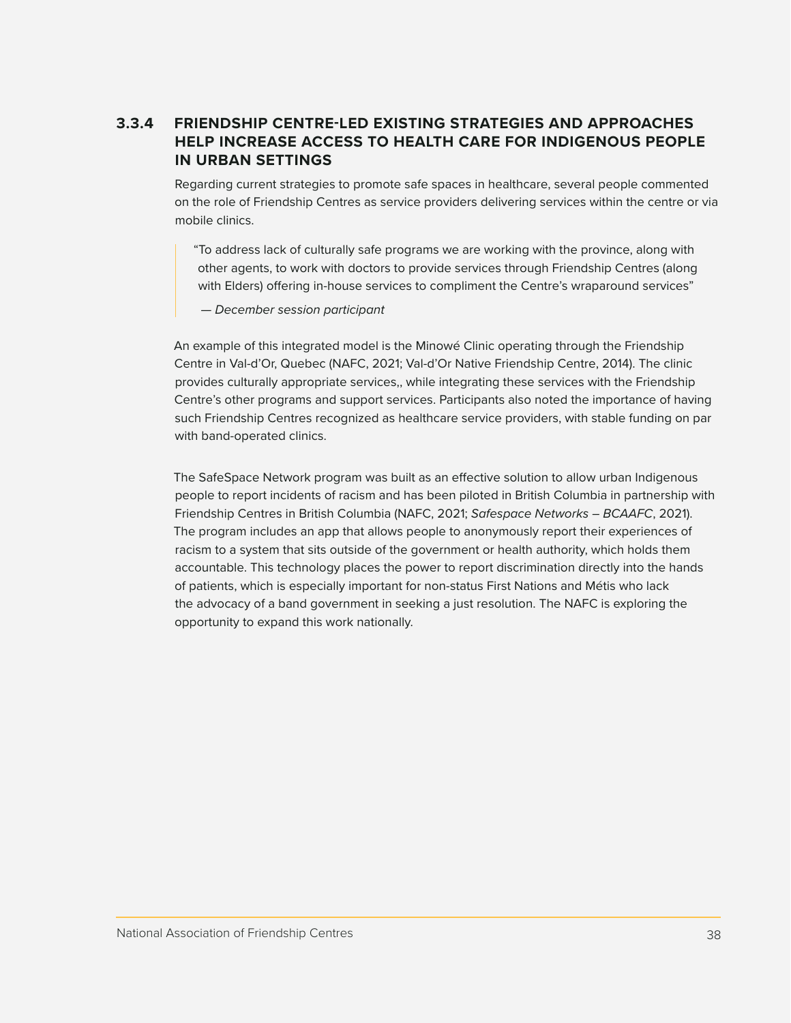#### <span id="page-37-0"></span>**3.3.4 FRIENDSHIP CENTRE-LED EXISTING STRATEGIES AND APPROACHES HELP INCREASE ACCESS TO HEALTH CARE FOR INDIGENOUS PEOPLE IN URBAN SETTINGS**

Regarding current strategies to promote safe spaces in healthcare, several people commented on the role of Friendship Centres as service providers delivering services within the centre or via mobile clinics.

"To address lack of culturally safe programs we are working with the province, along with other agents, to work with doctors to provide services through Friendship Centres (along with Elders) offering in-house services to compliment the Centre's wraparound services"

 *— December session participant*

An example of this integrated model is the Minowé Clinic operating through the Friendship Centre in Val-d'Or, Quebec (NAFC, 2021; Val-d'Or Native Friendship Centre, 2014). The clinic provides culturally appropriate services,, while integrating these services with the Friendship Centre's other programs and support services. Participants also noted the importance of having such Friendship Centres recognized as healthcare service providers, with stable funding on par with band-operated clinics.

The SafeSpace Network program was built as an effective solution to allow urban Indigenous people to report incidents of racism and has been piloted in British Columbia in partnership with Friendship Centres in British Columbia (NAFC, 2021; *Safespace Networks – BCAAFC*, 2021). The program includes an app that allows people to anonymously report their experiences of racism to a system that sits outside of the government or health authority, which holds them accountable. This technology places the power to report discrimination directly into the hands of patients, which is especially important for non-status First Nations and Métis who lack the advocacy of a band government in seeking a just resolution. The NAFC is exploring the opportunity to expand this work nationally.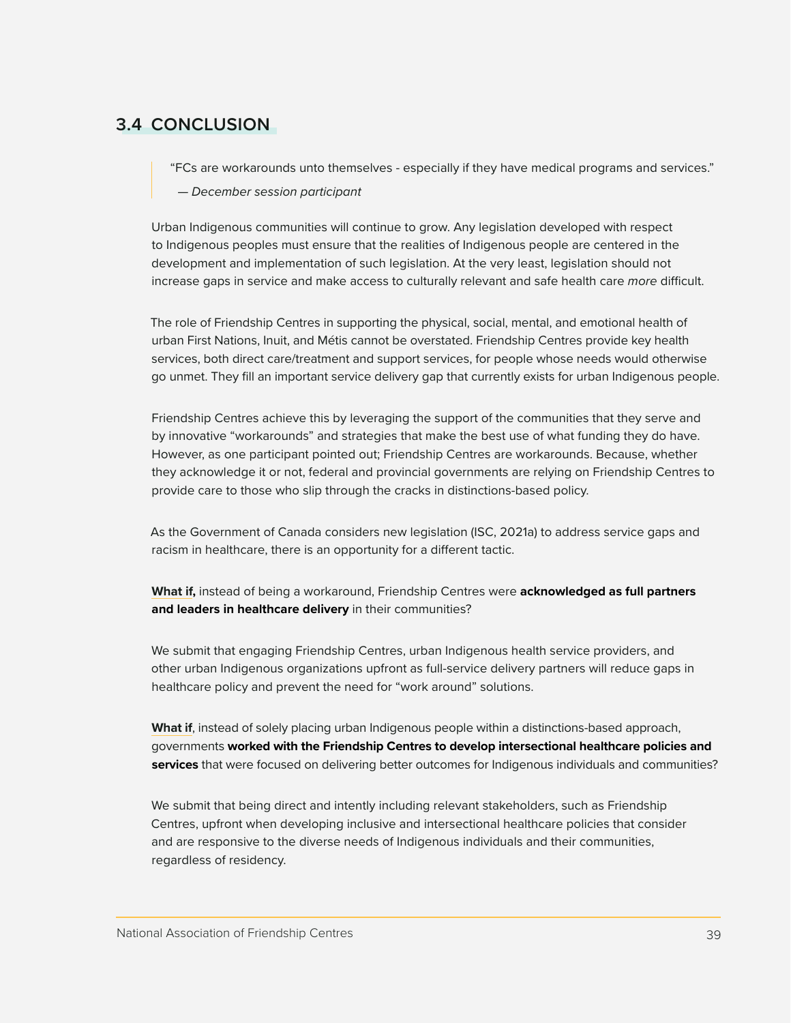## <span id="page-38-0"></span>**3.4 CONCLUSION**

"FCs are workarounds unto themselves - especially if they have medical programs and services."

 *— December session participant*

Urban Indigenous communities will continue to grow. Any legislation developed with respect to Indigenous peoples must ensure that the realities of Indigenous people are centered in the development and implementation of such legislation. At the very least, legislation should not increase gaps in service and make access to culturally relevant and safe health care *more* difficult.

The role of Friendship Centres in supporting the physical, social, mental, and emotional health of urban First Nations, Inuit, and Métis cannot be overstated. Friendship Centres provide key health services, both direct care/treatment and support services, for people whose needs would otherwise go unmet. They fill an important service delivery gap that currently exists for urban Indigenous people.

Friendship Centres achieve this by leveraging the support of the communities that they serve and by innovative "workarounds" and strategies that make the best use of what funding they do have. However, as one participant pointed out; Friendship Centres are workarounds. Because, whether they acknowledge it or not, federal and provincial governments are relying on Friendship Centres to provide care to those who slip through the cracks in distinctions-based policy.

As the Government of Canada considers new legislation (ISC, 2021a) to address service gaps and racism in healthcare, there is an opportunity for a different tactic.

**What if,** instead of being a workaround, Friendship Centres were **acknowledged as full partners and leaders in healthcare delivery** in their communities?

We submit that engaging Friendship Centres, urban Indigenous health service providers, and other urban Indigenous organizations upfront as full-service delivery partners will reduce gaps in healthcare policy and prevent the need for "work around" solutions.

**What if**, instead of solely placing urban Indigenous people within a distinctions-based approach, governments **worked with the Friendship Centres to develop intersectional healthcare policies and services** that were focused on delivering better outcomes for Indigenous individuals and communities?

We submit that being direct and intently including relevant stakeholders, such as Friendship Centres, upfront when developing inclusive and intersectional healthcare policies that consider and are responsive to the diverse needs of Indigenous individuals and their communities, regardless of residency.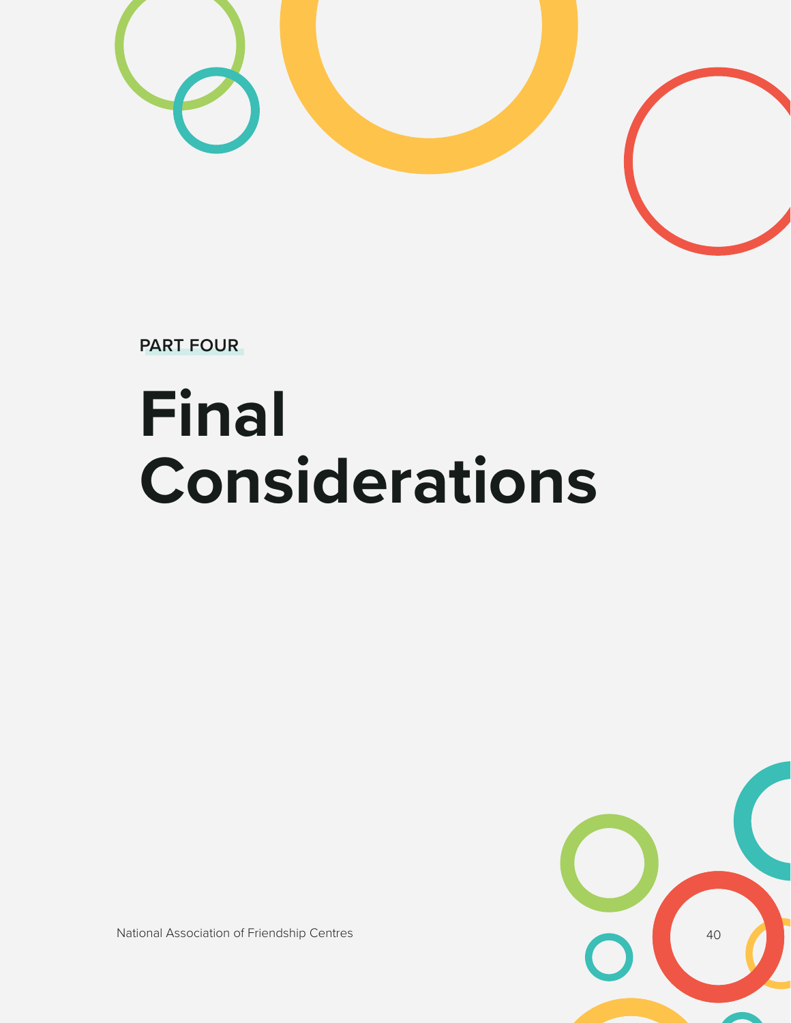

**PART FOUR**

# **Final Considerations**



National Association of Friendship Centres 40 and 20 and 20 and 20 and 20 and 20 and 20 and 20 and 20 and 20 and 20 and 20 and 20 and 20 and 20 and 20 and 20 and 20 and 20 and 20 and 20 and 20 and 20 and 20 and 20 and 20 a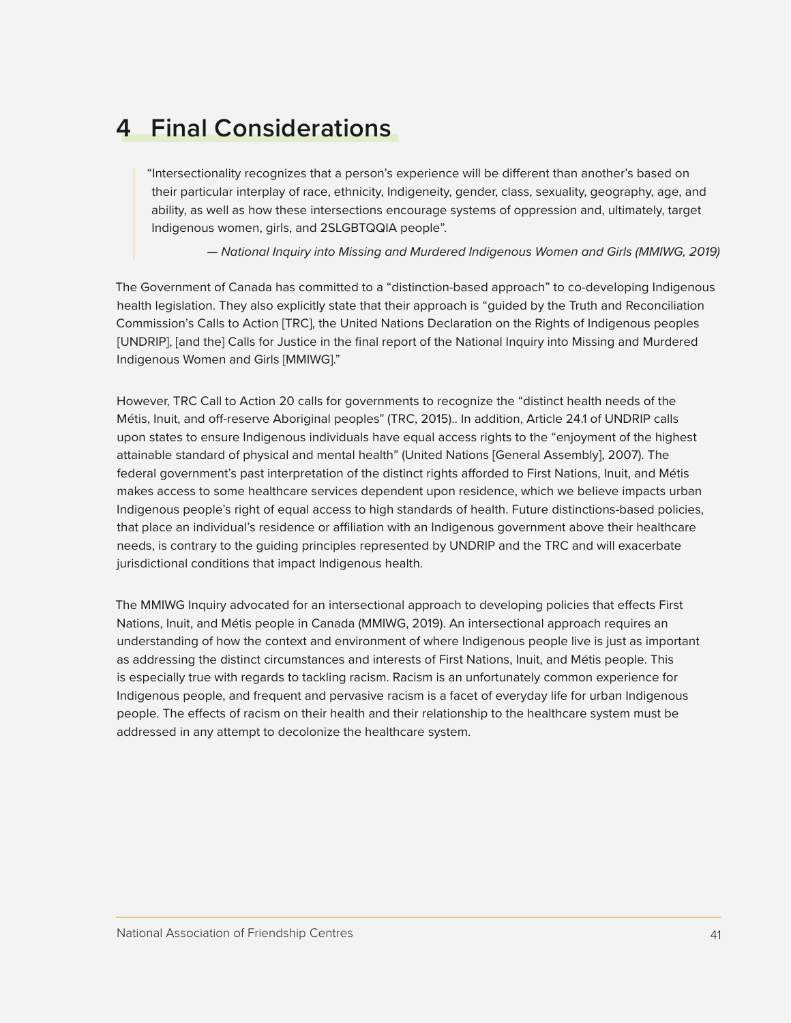# <span id="page-40-0"></span>**4 Final Considerations**

"Intersectionality recognizes that a person's experience will be different than another's based on their particular interplay of race, ethnicity, Indigeneity, gender, class, sexuality, geography, age, and ability, as well as how these intersections encourage systems of oppression and, ultimately, target Indigenous women, girls, and 2SLGBTQQIA people".

*— National Inquiry into Missing and Murdered Indigenous Women and Girls (MMIWG, 2019)*

The Government of Canada has committed to a "distinction-based approach" to co-developing Indigenous health legislation. They also explicitly state that their approach is "guided by the Truth and Reconciliation Commission's Calls to Action [TRC], the United Nations Declaration on the Rights of Indigenous peoples [UNDRIP], [and the] Calls for Justice in the final report of the National Inquiry into Missing and Murdered Indigenous Women and Girls [MMIWG]."

However, TRC Call to Action 20 calls for governments to recognize the "distinct health needs of the Métis, Inuit, and off-reserve Aboriginal peoples" (TRC, 2015).. In addition, Article 24.1 of UNDRIP calls upon states to ensure Indigenous individuals have equal access rights to the "enjoyment of the highest attainable standard of physical and mental health" (United Nations [General Assembly], 2007). The federal government's past interpretation of the distinct rights afforded to First Nations, Inuit, and Métis makes access to some healthcare services dependent upon residence, which we believe impacts urban Indigenous people's right of equal access to high standards of health. Future distinctions-based policies, that place an individual's residence or affiliation with an Indigenous government above their healthcare needs, is contrary to the guiding principles represented by UNDRIP and the TRC and will exacerbate jurisdictional conditions that impact Indigenous health.

The MMIWG Inquiry advocated for an intersectional approach to developing policies that effects First Nations, Inuit, and Métis people in Canada (MMIWG, 2019). An intersectional approach requires an understanding of how the context and environment of where Indigenous people live is just as important as addressing the distinct circumstances and interests of First Nations, Inuit, and Métis people. This is especially true with regards to tackling racism. Racism is an unfortunately common experience for Indigenous people, and frequent and pervasive racism is a facet of everyday life for urban Indigenous people. The effects of racism on their health and their relationship to the healthcare system must be addressed in any attempt to decolonize the healthcare system.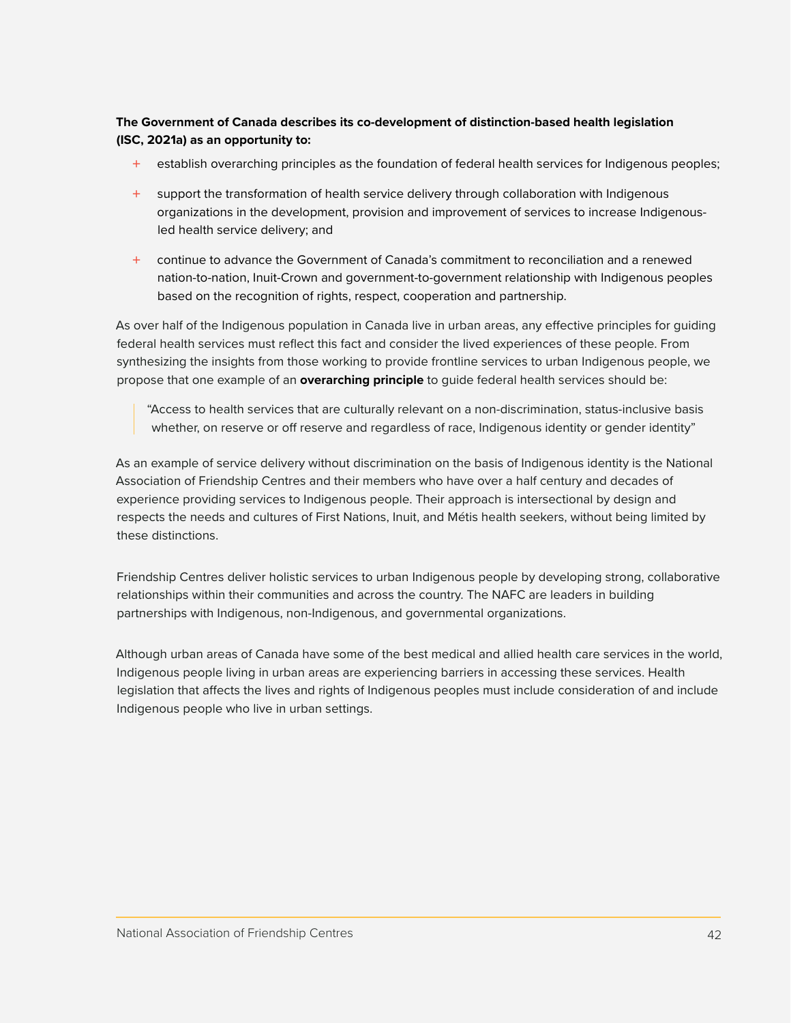#### **The Government of Canada describes its co-development of distinction-based health legislation (ISC, 2021a) as an opportunity to:**

- establish overarching principles as the foundation of federal health services for Indigenous peoples;
- + support the transformation of health service delivery through collaboration with Indigenous organizations in the development, provision and improvement of services to increase Indigenousled health service delivery; and
- + continue to advance the Government of Canada's commitment to reconciliation and a renewed nation-to-nation, Inuit-Crown and government-to-government relationship with Indigenous peoples based on the recognition of rights, respect, cooperation and partnership.

As over half of the Indigenous population in Canada live in urban areas, any effective principles for guiding federal health services must reflect this fact and consider the lived experiences of these people. From synthesizing the insights from those working to provide frontline services to urban Indigenous people, we propose that one example of an **overarching principle** to guide federal health services should be:

"Access to health services that are culturally relevant on a non-discrimination, status-inclusive basis whether, on reserve or off reserve and regardless of race, Indigenous identity or gender identity"

As an example of service delivery without discrimination on the basis of Indigenous identity is the National Association of Friendship Centres and their members who have over a half century and decades of experience providing services to Indigenous people. Their approach is intersectional by design and respects the needs and cultures of First Nations, Inuit, and Métis health seekers, without being limited by these distinctions.

Friendship Centres deliver holistic services to urban Indigenous people by developing strong, collaborative relationships within their communities and across the country. The NAFC are leaders in building partnerships with Indigenous, non-Indigenous, and governmental organizations.

Although urban areas of Canada have some of the best medical and allied health care services in the world, Indigenous people living in urban areas are experiencing barriers in accessing these services. Health legislation that affects the lives and rights of Indigenous peoples must include consideration of and include Indigenous people who live in urban settings.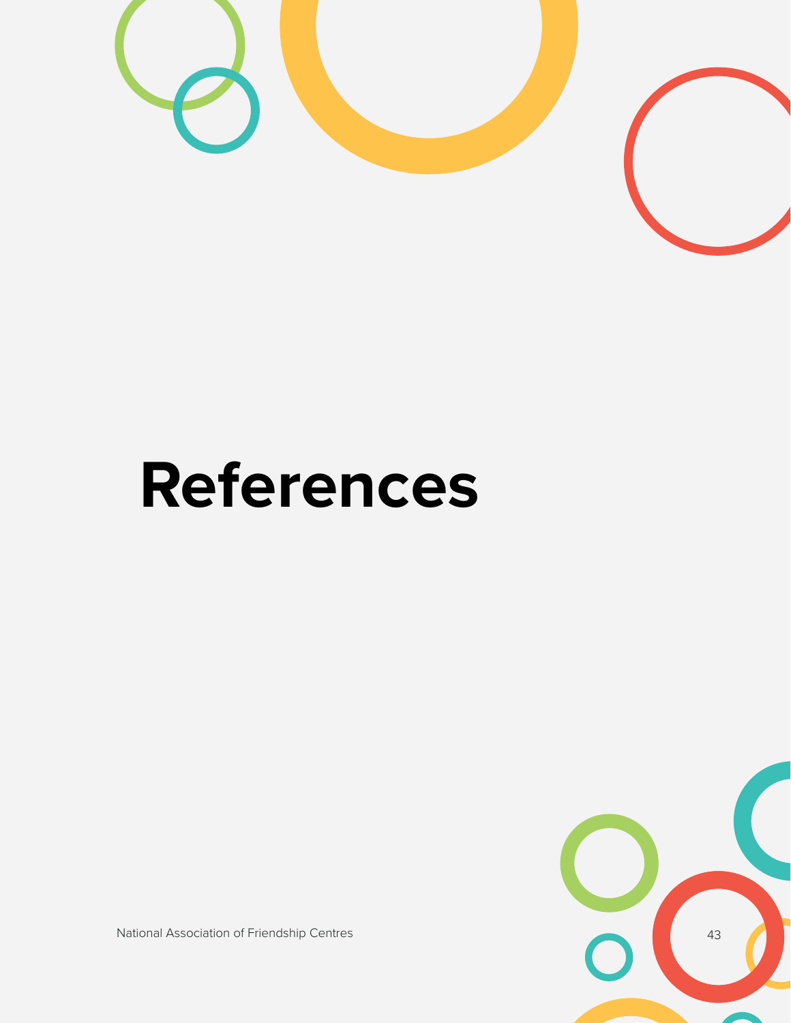

# **References**

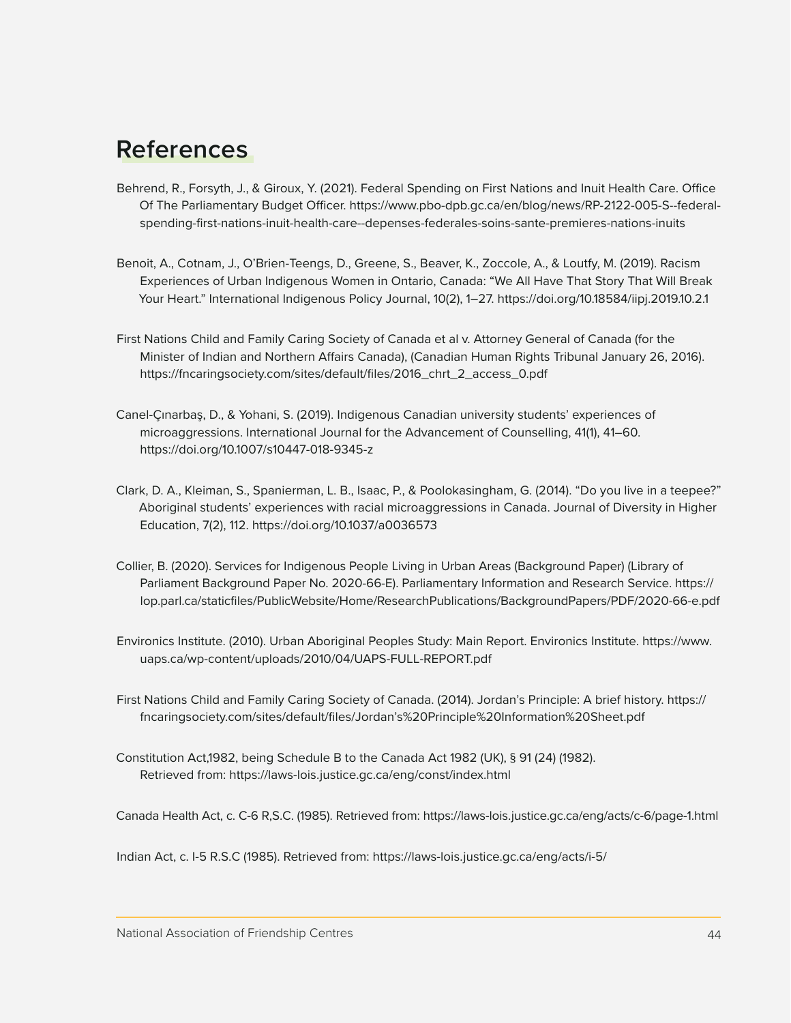## <span id="page-43-0"></span>**References**

- Behrend, R., Forsyth, J., & Giroux, Y. (2021). Federal Spending on First Nations and Inuit Health Care. Office Of The Parliamentary Budget Officer. https://www.pbo-dpb.gc.ca/en/blog/news/RP-2122-005-S--federalspending-first-nations-inuit-health-care--depenses-federales-soins-sante-premieres-nations-inuits
- Benoit, A., Cotnam, J., O'Brien-Teengs, D., Greene, S., Beaver, K., Zoccole, A., & Loutfy, M. (2019). Racism Experiences of Urban Indigenous Women in Ontario, Canada: "We All Have That Story That Will Break Your Heart." International Indigenous Policy Journal, 10(2), 1–27. https://doi.org/10.18584/iipj.2019.10.2.1
- First Nations Child and Family Caring Society of Canada et al v. Attorney General of Canada (for the Minister of Indian and Northern Affairs Canada), (Canadian Human Rights Tribunal January 26, 2016). https://fncaringsociety.com/sites/default/files/2016\_chrt\_2\_access\_0.pdf
- Canel-Çınarbaş, D., & Yohani, S. (2019). Indigenous Canadian university students' experiences of microaggressions. International Journal for the Advancement of Counselling, 41(1), 41–60. https://doi.org/10.1007/s10447-018-9345-z
- Clark, D. A., Kleiman, S., Spanierman, L. B., Isaac, P., & Poolokasingham, G. (2014). "Do you live in a teepee?" Aboriginal students' experiences with racial microaggressions in Canada. Journal of Diversity in Higher Education, 7(2), 112. https://doi.org/10.1037/a0036573
- Collier, B. (2020). Services for Indigenous People Living in Urban Areas (Background Paper) (Library of Parliament Background Paper No. 2020-66-E). Parliamentary Information and Research Service. https:// lop.parl.ca/staticfiles/PublicWebsite/Home/ResearchPublications/BackgroundPapers/PDF/2020-66-e.pdf
- Environics Institute. (2010). Urban Aboriginal Peoples Study: Main Report. Environics Institute. https://www. uaps.ca/wp-content/uploads/2010/04/UAPS-FULL-REPORT.pdf
- First Nations Child and Family Caring Society of Canada. (2014). Jordan's Principle: A brief history. https:// fncaringsociety.com/sites/default/files/Jordan's%20Principle%20Information%20Sheet.pdf
- Constitution Act,1982, being Schedule B to the Canada Act 1982 (UK), § 91 (24) (1982). Retrieved from: https://laws-lois.justice.gc.ca/eng/const/index.html

Canada Health Act, c. C-6 R,S.C. (1985). Retrieved from: https://laws-lois.justice.gc.ca/eng/acts/c-6/page-1.html

Indian Act, c. I-5 R.S.C (1985). Retrieved from: https://laws-lois.justice.gc.ca/eng/acts/i-5/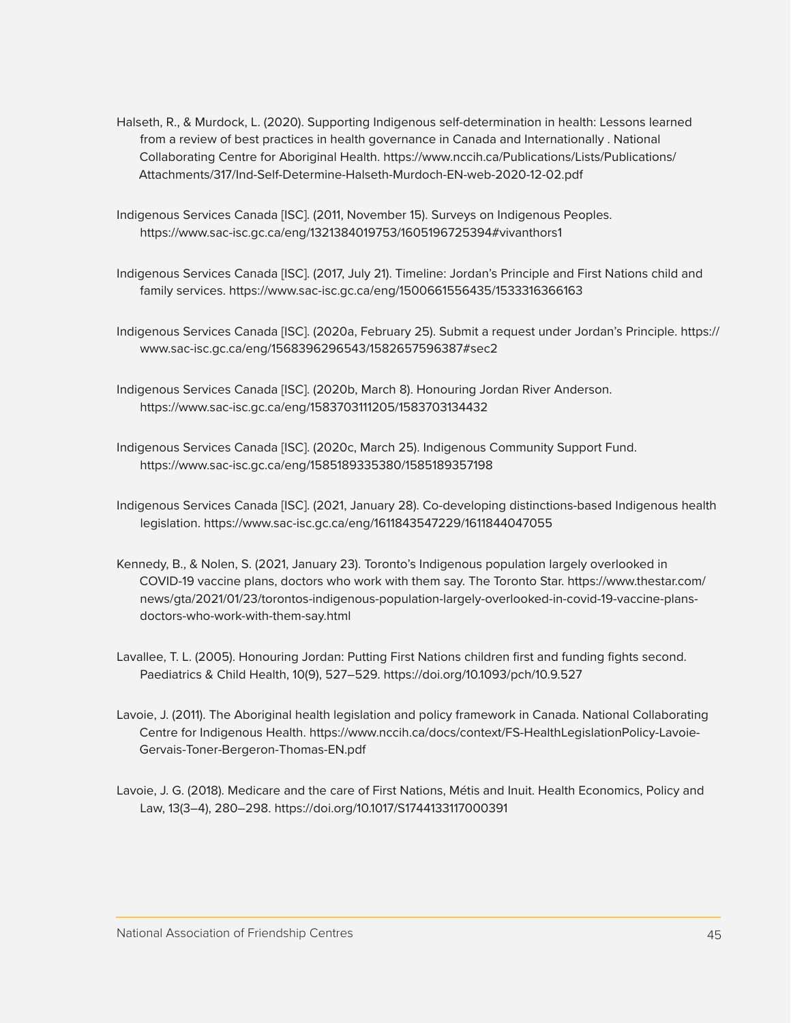- Halseth, R., & Murdock, L. (2020). Supporting Indigenous self-determination in health: Lessons learned from a review of best practices in health governance in Canada and Internationally . National Collaborating Centre for Aboriginal Health. https://www.nccih.ca/Publications/Lists/Publications/ Attachments/317/Ind-Self-Determine-Halseth-Murdoch-EN-web-2020-12-02.pdf
- Indigenous Services Canada [ISC]. (2011, November 15). Surveys on Indigenous Peoples. https://www.sac-isc.gc.ca/eng/1321384019753/1605196725394#vivanthors1
- Indigenous Services Canada [ISC]. (2017, July 21). Timeline: Jordan's Principle and First Nations child and family services. https://www.sac-isc.gc.ca/eng/1500661556435/1533316366163
- Indigenous Services Canada [ISC]. (2020a, February 25). Submit a request under Jordan's Principle. https:// www.sac-isc.gc.ca/eng/1568396296543/1582657596387#sec2
- Indigenous Services Canada [ISC]. (2020b, March 8). Honouring Jordan River Anderson. https://www.sac-isc.gc.ca/eng/1583703111205/1583703134432
- Indigenous Services Canada [ISC]. (2020c, March 25). Indigenous Community Support Fund. https://www.sac-isc.gc.ca/eng/1585189335380/1585189357198
- Indigenous Services Canada [ISC]. (2021, January 28). Co-developing distinctions-based Indigenous health legislation. https://www.sac-isc.gc.ca/eng/1611843547229/1611844047055
- Kennedy, B., & Nolen, S. (2021, January 23). Toronto's Indigenous population largely overlooked in COVID-19 vaccine plans, doctors who work with them say. The Toronto Star. https://www.thestar.com/ news/gta/2021/01/23/torontos-indigenous-population-largely-overlooked-in-covid-19-vaccine-plansdoctors-who-work-with-them-say.html
- Lavallee, T. L. (2005). Honouring Jordan: Putting First Nations children first and funding fights second. Paediatrics & Child Health, 10(9), 527–529. https://doi.org/10.1093/pch/10.9.527
- Lavoie, J. (2011). The Aboriginal health legislation and policy framework in Canada. National Collaborating Centre for Indigenous Health. https://www.nccih.ca/docs/context/FS-HealthLegislationPolicy-Lavoie-Gervais-Toner-Bergeron-Thomas-EN.pdf
- Lavoie, J. G. (2018). Medicare and the care of First Nations, Métis and Inuit. Health Economics, Policy and Law, 13(3–4), 280–298. https://doi.org/10.1017/S1744133117000391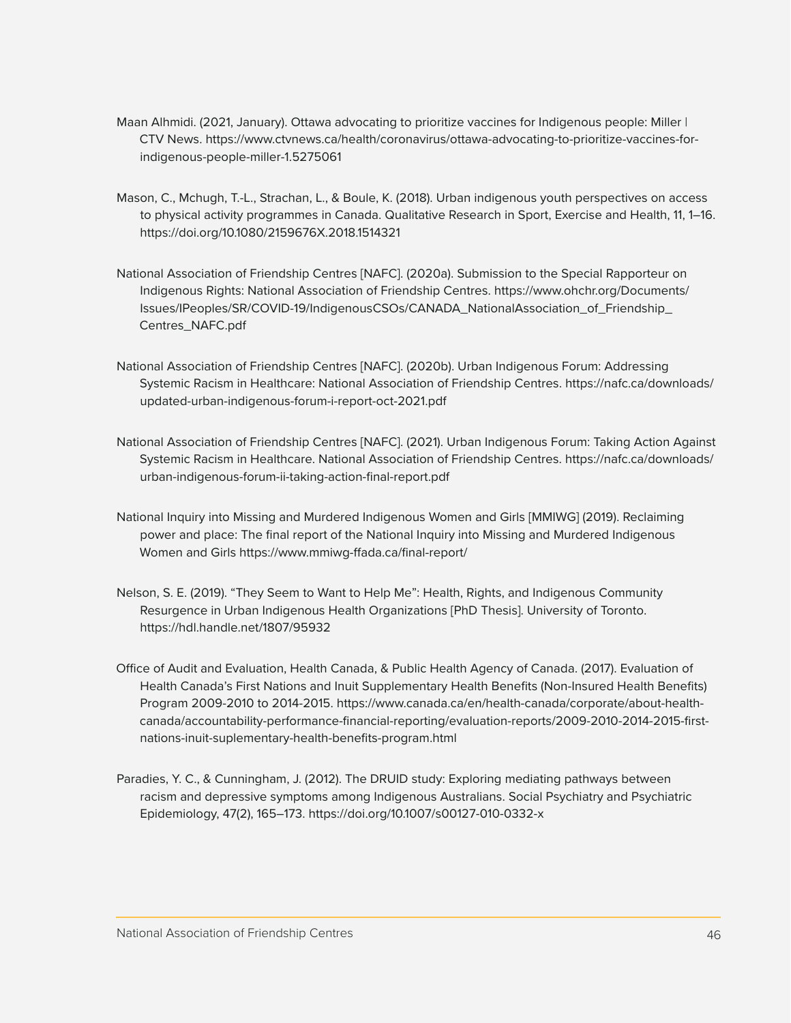- Maan Alhmidi. (2021, January). Ottawa advocating to prioritize vaccines for Indigenous people: Miller | CTV News. https://www.ctvnews.ca/health/coronavirus/ottawa-advocating-to-prioritize-vaccines-forindigenous-people-miller-1.5275061
- Mason, C., Mchugh, T.-L., Strachan, L., & Boule, K. (2018). Urban indigenous youth perspectives on access to physical activity programmes in Canada. Qualitative Research in Sport, Exercise and Health, 11, 1–16. https://doi.org/10.1080/2159676X.2018.1514321
- National Association of Friendship Centres [NAFC]. (2020a). Submission to the Special Rapporteur on Indigenous Rights: National Association of Friendship Centres. https://www.ohchr.org/Documents/ Issues/IPeoples/SR/COVID-19/IndigenousCSOs/CANADA\_NationalAssociation\_of\_Friendship\_ Centres\_NAFC.pdf
- National Association of Friendship Centres [NAFC]. (2020b). Urban Indigenous Forum: Addressing Systemic Racism in Healthcare: National Association of Friendship Centres. https://nafc.ca/downloads/ updated-urban-indigenous-forum-i-report-oct-2021.pdf
- National Association of Friendship Centres [NAFC]. (2021). Urban Indigenous Forum: Taking Action Against Systemic Racism in Healthcare. National Association of Friendship Centres. https://nafc.ca/downloads/ urban-indigenous-forum-ii-taking-action-final-report.pdf
- National Inquiry into Missing and Murdered Indigenous Women and Girls [MMIWG] (2019). Reclaiming power and place: The final report of the National Inquiry into Missing and Murdered Indigenous Women and Girls https://www.mmiwg-ffada.ca/final-report/
- Nelson, S. E. (2019). "They Seem to Want to Help Me": Health, Rights, and Indigenous Community Resurgence in Urban Indigenous Health Organizations [PhD Thesis]. University of Toronto. https://hdl.handle.net/1807/95932
- Office of Audit and Evaluation, Health Canada, & Public Health Agency of Canada. (2017). Evaluation of Health Canada's First Nations and Inuit Supplementary Health Benefits (Non-Insured Health Benefits) Program 2009-2010 to 2014-2015. https://www.canada.ca/en/health-canada/corporate/about-healthcanada/accountability-performance-financial-reporting/evaluation-reports/2009-2010-2014-2015-firstnations-inuit-suplementary-health-benefits-program.html
- Paradies, Y. C., & Cunningham, J. (2012). The DRUID study: Exploring mediating pathways between racism and depressive symptoms among Indigenous Australians. Social Psychiatry and Psychiatric Epidemiology, 47(2), 165–173. https://doi.org/10.1007/s00127-010-0332-x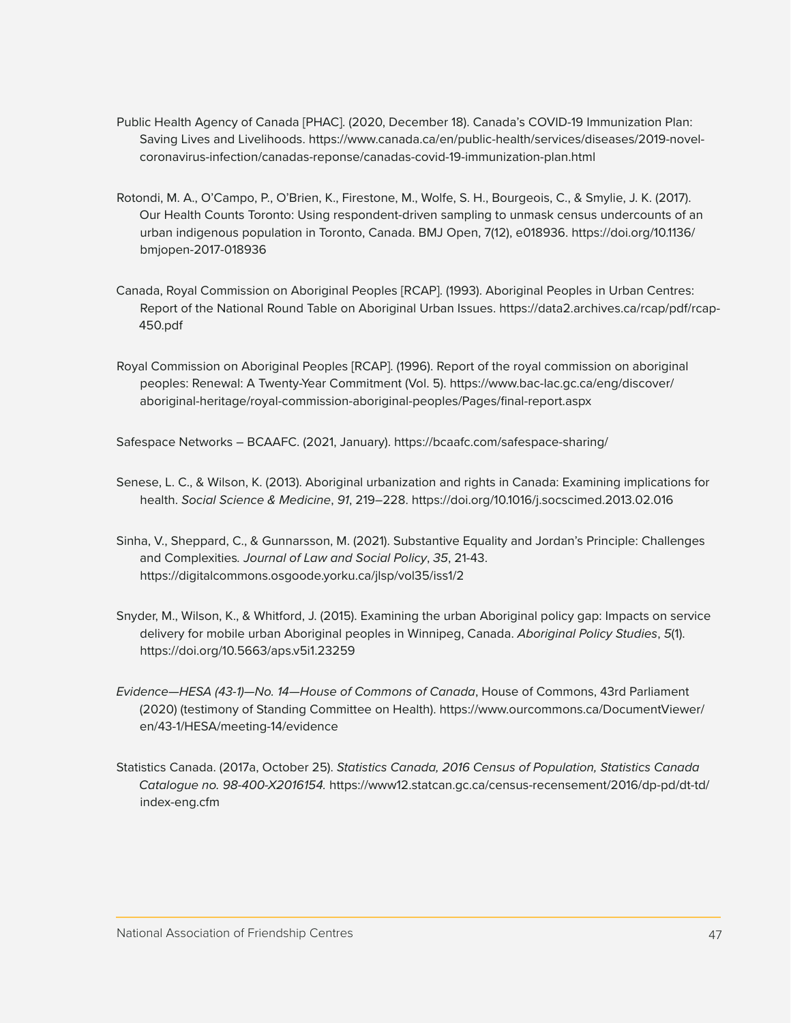- Public Health Agency of Canada [PHAC]. (2020, December 18). Canada's COVID-19 Immunization Plan: Saving Lives and Livelihoods. https://www.canada.ca/en/public-health/services/diseases/2019-novelcoronavirus-infection/canadas-reponse/canadas-covid-19-immunization-plan.html
- Rotondi, M. A., O'Campo, P., O'Brien, K., Firestone, M., Wolfe, S. H., Bourgeois, C., & Smylie, J. K. (2017). Our Health Counts Toronto: Using respondent-driven sampling to unmask census undercounts of an urban indigenous population in Toronto, Canada. BMJ Open, 7(12), e018936. https://doi.org/10.1136/ bmjopen-2017-018936
- Canada, Royal Commission on Aboriginal Peoples [RCAP]. (1993). Aboriginal Peoples in Urban Centres: Report of the National Round Table on Aboriginal Urban Issues. https://data2.archives.ca/rcap/pdf/rcap-450.pdf
- Royal Commission on Aboriginal Peoples [RCAP]. (1996). Report of the royal commission on aboriginal peoples: Renewal: A Twenty-Year Commitment (Vol. 5). https://www.bac-lac.gc.ca/eng/discover/ aboriginal-heritage/royal-commission-aboriginal-peoples/Pages/final-report.aspx

Safespace Networks – BCAAFC. (2021, January). https://bcaafc.com/safespace-sharing/

- Senese, L. C., & Wilson, K. (2013). Aboriginal urbanization and rights in Canada: Examining implications for health. *Social Science & Medicine*, *91*, 219–228. https://doi.org/10.1016/j.socscimed.2013.02.016
- Sinha, V., Sheppard, C., & Gunnarsson, M. (2021). Substantive Equality and Jordan's Principle: Challenges and Complexities*. Journal of Law and Social Policy*, *35*, 21-43. https://digitalcommons.osgoode.yorku.ca/jlsp/vol35/iss1/2
- Snyder, M., Wilson, K., & Whitford, J. (2015). Examining the urban Aboriginal policy gap: Impacts on service delivery for mobile urban Aboriginal peoples in Winnipeg, Canada. *Aboriginal Policy Studies*, *5*(1). https://doi.org/10.5663/aps.v5i1.23259
- *Evidence—HESA (43-1)—No. 14—House of Commons of Canada*, House of Commons, 43rd Parliament (2020) (testimony of Standing Committee on Health). https://www.ourcommons.ca/DocumentViewer/ en/43-1/HESA/meeting-14/evidence
- Statistics Canada. (2017a, October 25). *Statistics Canada, 2016 Census of Population, Statistics Canada Catalogue no. 98-400-X2016154.* https://www12.statcan.gc.ca/census-recensement/2016/dp-pd/dt-td/ index-eng.cfm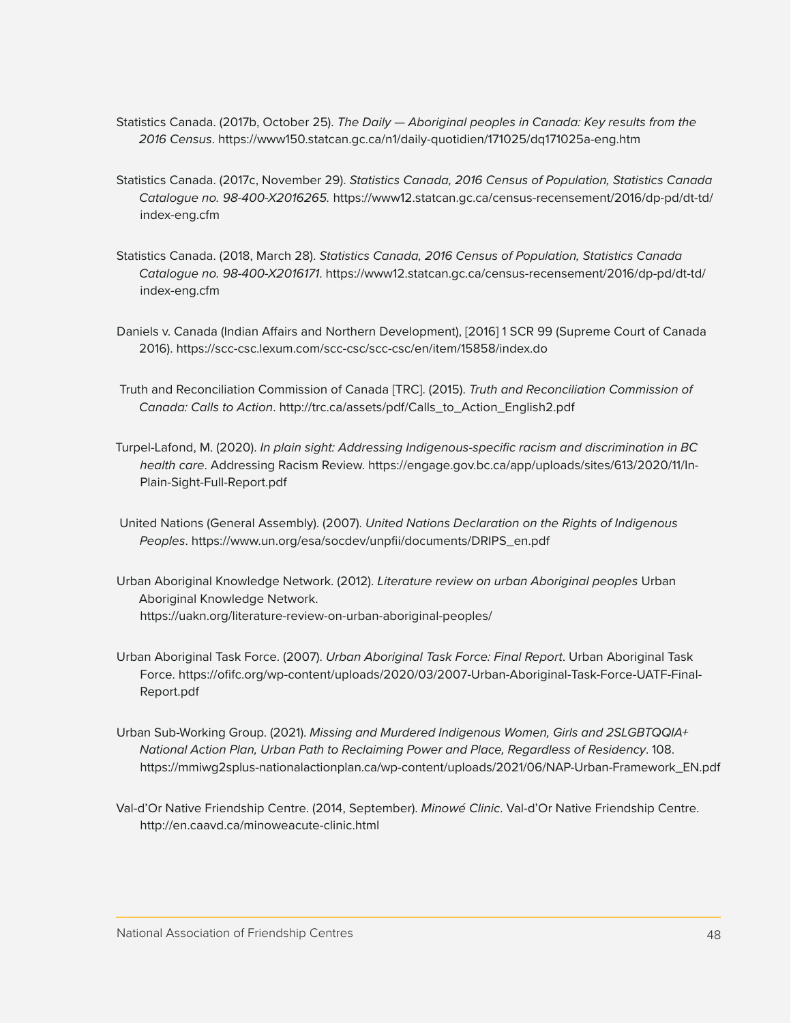- Statistics Canada. (2017b, October 25). *The Daily Aboriginal peoples in Canada: Key results from the 2016 Census*. https://www150.statcan.gc.ca/n1/daily-quotidien/171025/dq171025a-eng.htm
- Statistics Canada. (2017c, November 29). *Statistics Canada, 2016 Census of Population, Statistics Canada Catalogue no. 98-400-X2016265.* https://www12.statcan.gc.ca/census-recensement/2016/dp-pd/dt-td/ index-eng.cfm
- Statistics Canada. (2018, March 28). *Statistics Canada, 2016 Census of Population, Statistics Canada Catalogue no. 98-400-X2016171*. https://www12.statcan.gc.ca/census-recensement/2016/dp-pd/dt-td/ index-eng.cfm
- Daniels v. Canada (Indian Affairs and Northern Development), [2016] 1 SCR 99 (Supreme Court of Canada 2016). https://scc-csc.lexum.com/scc-csc/scc-csc/en/item/15858/index.do
- Truth and Reconciliation Commission of Canada [TRC]. (2015). *Truth and Reconciliation Commission of Canada: Calls to Action*. http://trc.ca/assets/pdf/Calls\_to\_Action\_English2.pdf
- Turpel-Lafond, M. (2020). *In plain sight: Addressing Indigenous-specific racism and discrimination in BC health care*. Addressing Racism Review. https://engage.gov.bc.ca/app/uploads/sites/613/2020/11/In-Plain-Sight-Full-Report.pdf
- United Nations (General Assembly). (2007). *United Nations Declaration on the Rights of Indigenous Peoples*. https://www.un.org/esa/socdev/unpfii/documents/DRIPS\_en.pdf
- Urban Aboriginal Knowledge Network. (2012). *Literature review on urban Aboriginal peoples* Urban Aboriginal Knowledge Network. https://uakn.org/literature-review-on-urban-aboriginal-peoples/
- Urban Aboriginal Task Force. (2007). *Urban Aboriginal Task Force: Final Report*. Urban Aboriginal Task Force. https://ofifc.org/wp-content/uploads/2020/03/2007-Urban-Aboriginal-Task-Force-UATF-Final-Report.pdf
- Urban Sub-Working Group. (2021). *Missing and Murdered Indigenous Women, Girls and 2SLGBTQQIA+ National Action Plan, Urban Path to Reclaiming Power and Place, Regardless of Residency*. 108. https://mmiwg2splus-nationalactionplan.ca/wp-content/uploads/2021/06/NAP-Urban-Framework\_EN.pdf
- Val-d'Or Native Friendship Centre. (2014, September). *Minowé Clinic*. Val-d'Or Native Friendship Centre. http://en.caavd.ca/minoweacute-clinic.html